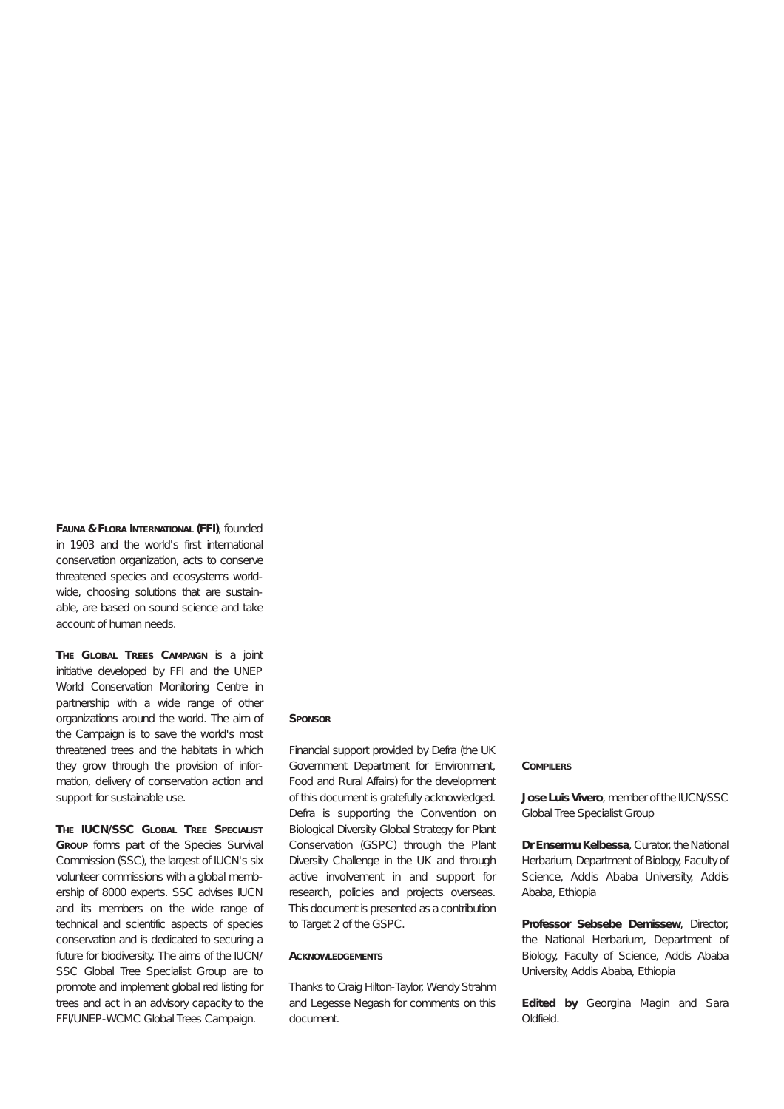**FAUNA & FLORA INTERNATIONAL (FFI)**, founded in 1903 and the world's first international conservation organization, acts to conserve threatened species and ecosystems worldwide, choosing solutions that are sustainable, are based on sound science and take account of human needs.

**THE GLOBAL TREES CAMPAIGN** is a joint initiative developed by FFI and the UNEP World Conservation Monitoring Centre in partnership with a wide range of other organizations around the world. The aim of the Campaign is to save the world's most threatened trees and the habitats in which they grow through the provision of information, delivery of conservation action and support for sustainable use.

**THE IUCN/SSC GLOBAL TREE SPECIALIST GROUP** forms part of the Species Survival Commission (SSC), the largest of IUCN's six volunteer commissions with a global membership of 8000 experts. SSC advises IUCN and its members on the wide range of technical and scientific aspects of species conservation and is dedicated to securing a future for biodiversity. The aims of the IUCN/ SSC Global Tree Specialist Group are to promote and implement global red listing for trees and act in an advisory capacity to the FFI/UNEP-WCMC Global Trees Campaign.

#### **SPONSOR**

Financial support provided by Defra (the UK Government Department for Environment, Food and Rural Affairs) for the development of this document is gratefully acknowledged. Defra is supporting the Convention on Biological Diversity Global Strategy for Plant Conservation (GSPC) through the Plant Diversity Challenge in the UK and through active involvement in and support for research, policies and projects overseas. This document is presented as a contribution to Target 2 of the GSPC.

#### **ACKNOWLEDGEMENTS**

Thanks to Craig Hilton-Taylor, Wendy Strahm and Legesse Negash for comments on this document.

#### **COMPILERS**

**Jose Luis Vivero**, member of the IUCN/SSC Global Tree Specialist Group

**Dr Ensermu Kelbessa**, Curator, the National Herbarium, Department of Biology, Faculty of Science, Addis Ababa University, Addis Ababa, Ethiopia

**Professor Sebsebe Demissew**, Director, the National Herbarium, Department of Biology, Faculty of Science, Addis Ababa University, Addis Ababa, Ethiopia

**Edited by** Georgina Magin and Sara Oldfield.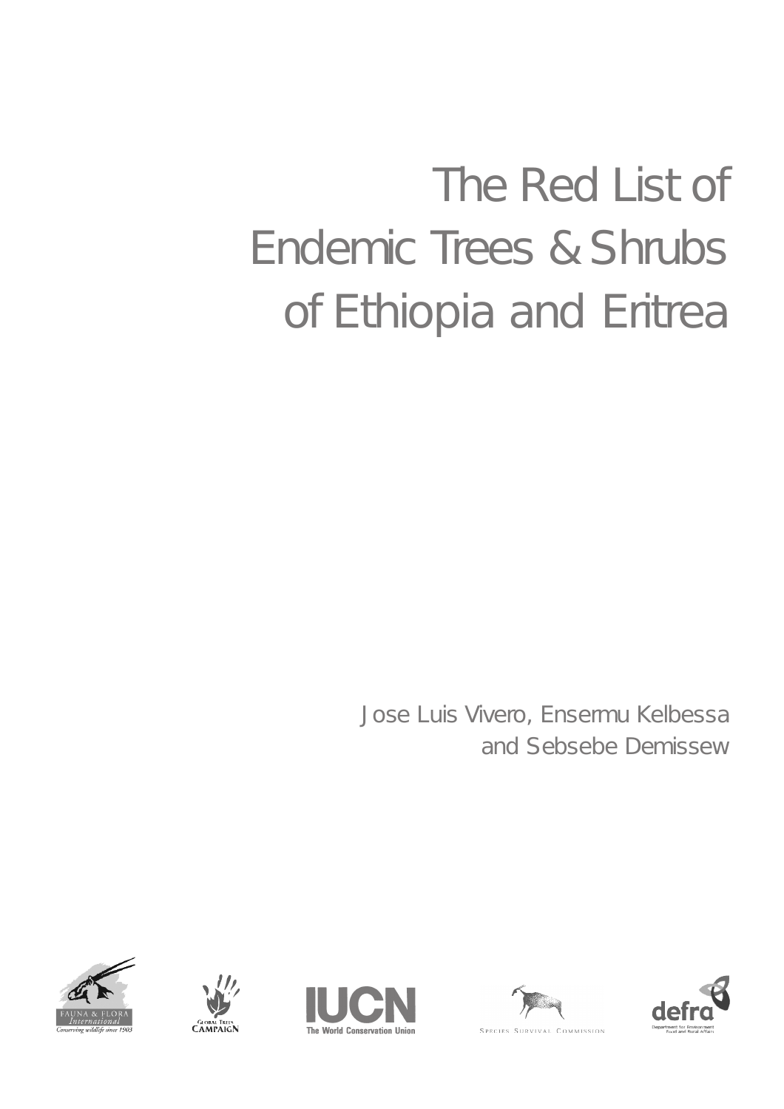# The Red List of Endemic Trees & Shrubs of Ethiopia and Eritrea

Jose Luis Vivero, Ensermu Kelbessa and Sebsebe Demissew









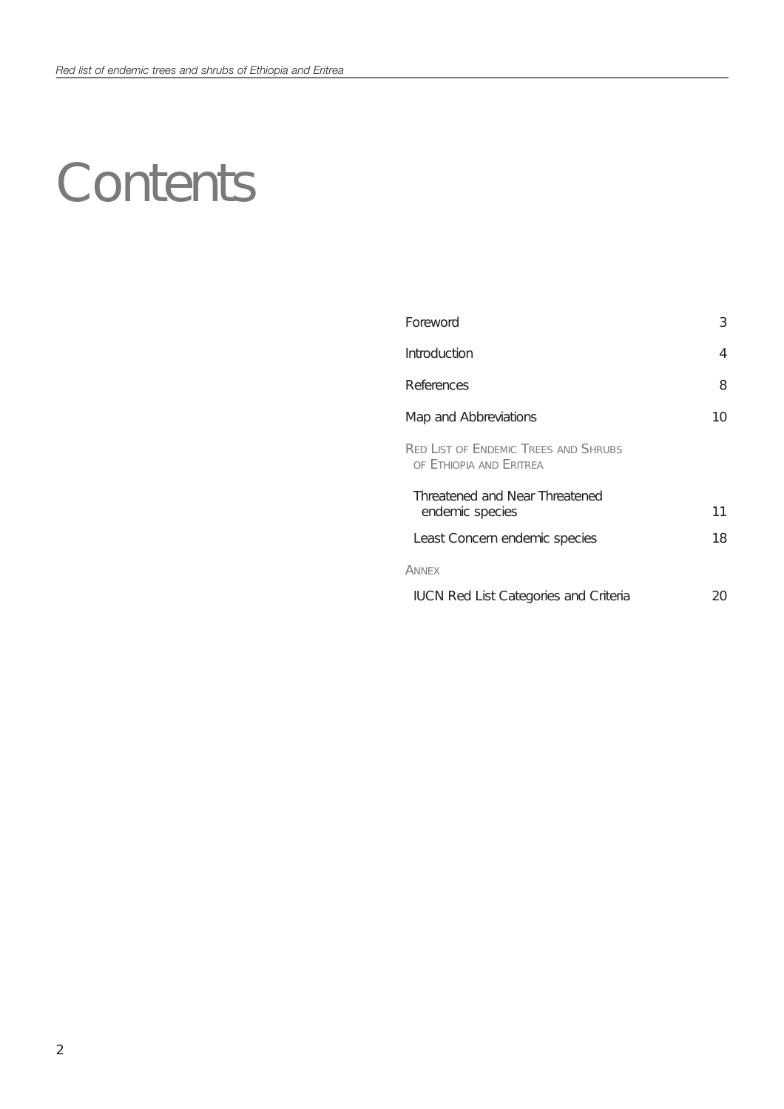# **Contents**

| Foreword                                                               | 3  |
|------------------------------------------------------------------------|----|
| Introduction                                                           | 4  |
| References                                                             | 8  |
| Map and Abbreviations                                                  | 10 |
| <b>RED LIST OF ENDEMIC TREES AND SHRUBS</b><br>OF ETHIOPIA AND ERITREA |    |
| Threatened and Near Threatened<br>endemic species                      | 11 |
| Least Concern endemic species                                          | 18 |
| ANNEX                                                                  |    |
| <b>IUCN Red List Categories and Criteria</b>                           | 20 |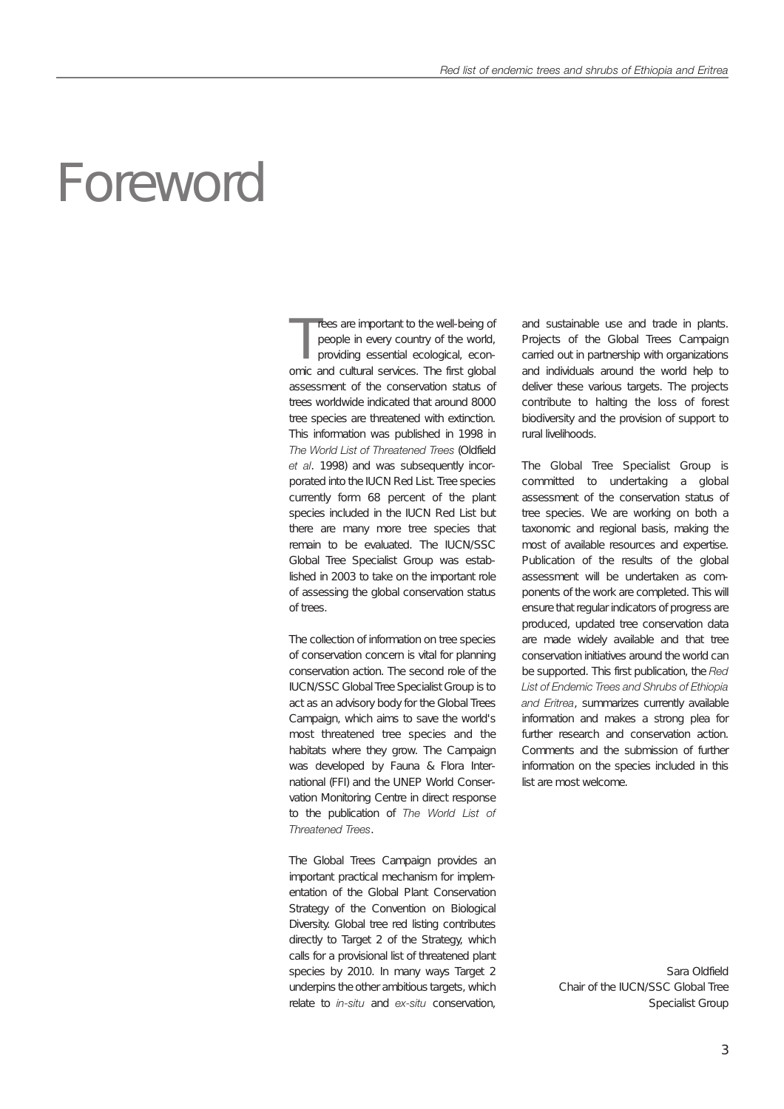# Foreword

Trees are important to the well-being of<br>people in every country of the world,<br>providing essential ecological, econ-<br>omic and cultural services. The first global rees are important to the well-being of people in every country of the world, providing essential ecological, econassessment of the conservation status of trees worldwide indicated that around 8000 tree species are threatened with extinction. This information was published in 1998 in *The World List of Threatened Trees* (Oldfield *et al*. 1998) and was subsequently incorporated into the IUCN Red List. Tree species currently form 68 percent of the plant species included in the IUCN Red List but there are many more tree species that remain to be evaluated. The IUCN/SSC Global Tree Specialist Group was established in 2003 to take on the important role of assessing the global conservation status of trees.

The collection of information on tree species of conservation concern is vital for planning conservation action. The second role of the IUCN/SSC Global Tree Specialist Group is to act as an advisory body for the Global Trees Campaign, which aims to save the world's most threatened tree species and the habitats where they grow. The Campaign was developed by Fauna & Flora International (FFI) and the UNEP World Conservation Monitoring Centre in direct response to the publication of *The World List of Threatened Trees*.

The Global Trees Campaign provides an important practical mechanism for implementation of the Global Plant Conservation Strategy of the Convention on Biological Diversity. Global tree red listing contributes directly to Target 2 of the Strategy, which calls for a provisional list of threatened plant species by 2010. In many ways Target 2 underpins the other ambitious targets, which relate to *in-situ* and *ex-situ* conservation,

and sustainable use and trade in plants. Projects of the Global Trees Campaign carried out in partnership with organizations and individuals around the world help to deliver these various targets. The projects contribute to halting the loss of forest biodiversity and the provision of support to rural livelihoods.

The Global Tree Specialist Group is committed to undertaking a global assessment of the conservation status of tree species. We are working on both a taxonomic and regional basis, making the most of available resources and expertise. Publication of the results of the global assessment will be undertaken as components of the work are completed. This will ensure that regular indicators of progress are produced, updated tree conservation data are made widely available and that tree conservation initiatives around the world can be supported. This first publication, the *Red List of Endemic Trees and Shrubs of Ethiopia and Eritrea*, summarizes currently available information and makes a strong plea for further research and conservation action. Comments and the submission of further information on the species included in this list are most welcome.

> Sara Oldfield Chair of the IUCN/SSC Global Tree Specialist Group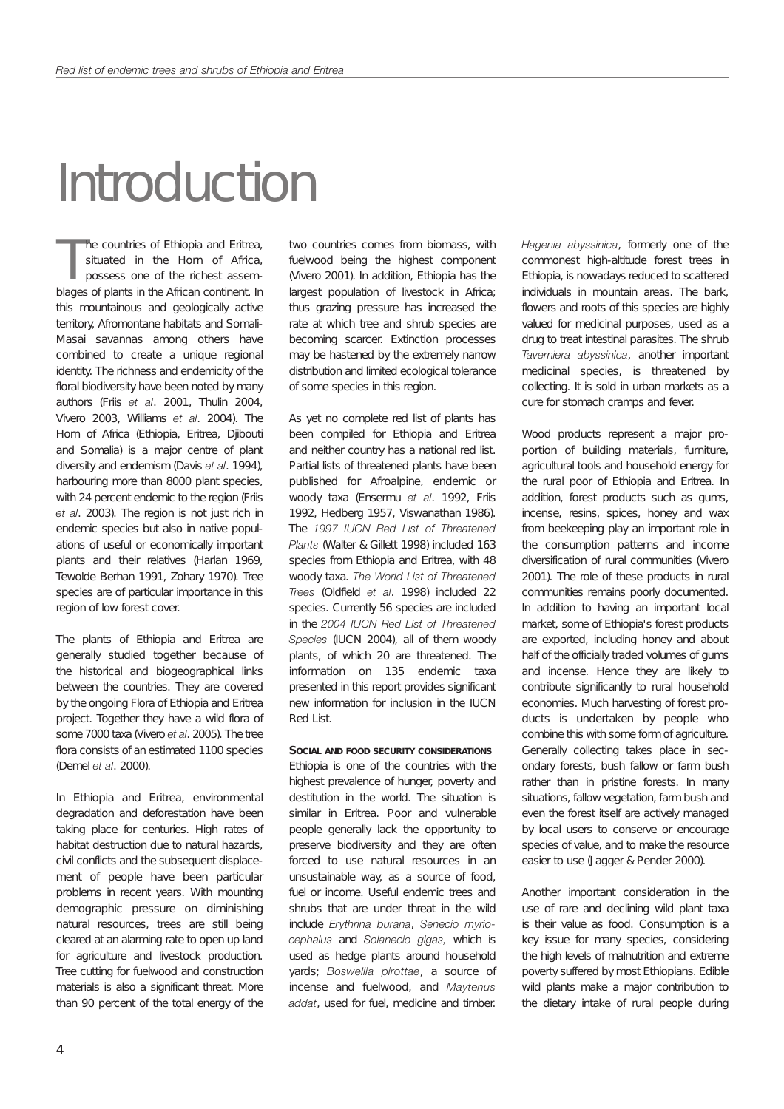## Introduction

 $\sqrt{\frac{1}{2}}$ he countries of Ethiopia and Eritrea, situated in the Horn of Africa, possess one of the richest assemblages of plants in the African continent. In this mountainous and geologically active territory, Afromontane habitats and Somali-Masai savannas among others have combined to create a unique regional identity. The richness and endemicity of the floral biodiversity have been noted by many authors (Friis *et al*. 2001, Thulin 2004, Vivero 2003, Williams *et al*. 2004). The Horn of Africa (Ethiopia, Eritrea, Djibouti and Somalia) is a major centre of plant diversity and endemism (Davis *et al*. 1994), harbouring more than 8000 plant species, with 24 percent endemic to the region (Friis *et al*. 2003). The region is not just rich in endemic species but also in native populations of useful or economically important plants and their relatives (Harlan 1969, Tewolde Berhan 1991, Zohary 1970). Tree species are of particular importance in this region of low forest cover.

The plants of Ethiopia and Eritrea are generally studied together because of the historical and biogeographical links between the countries. They are covered by the ongoing Flora of Ethiopia and Eritrea project. Together they have a wild flora of some 7000 taxa (Vivero *et al*. 2005). The tree flora consists of an estimated 1100 species (Demel *et al*. 2000).

In Ethiopia and Eritrea, environmental degradation and deforestation have been taking place for centuries. High rates of habitat destruction due to natural hazards, civil conflicts and the subsequent displacement of people have been particular problems in recent years. With mounting demographic pressure on diminishing natural resources, trees are still being cleared at an alarming rate to open up land for agriculture and livestock production. Tree cutting for fuelwood and construction materials is also a significant threat. More than 90 percent of the total energy of the

two countries comes from biomass, with fuelwood being the highest component (Vivero 2001). In addition, Ethiopia has the largest population of livestock in Africa; thus grazing pressure has increased the rate at which tree and shrub species are becoming scarcer. Extinction processes may be hastened by the extremely narrow distribution and limited ecological tolerance of some species in this region.

As yet no complete red list of plants has been compiled for Ethiopia and Eritrea and neither country has a national red list. Partial lists of threatened plants have been published for Afroalpine, endemic or woody taxa (Ensermu *et al*. 1992, Friis 1992, Hedberg 1957, Viswanathan 1986). The *1997 IUCN Red List of Threatened Plants* (Walter & Gillett 1998) included 163 species from Ethiopia and Eritrea, with 48 woody taxa. *The World List of Threatened Trees* (Oldfield *et al*. 1998) included 22 species. Currently 56 species are included in the *2004 IUCN Red List of Threatened Species* (IUCN 2004), all of them woody plants, of which 20 are threatened. The information on 135 endemic taxa presented in this report provides significant new information for inclusion in the IUCN Red List.

#### **SOCIAL AND FOOD SECURITY CONSIDERATIONS**

Ethiopia is one of the countries with the highest prevalence of hunger, poverty and destitution in the world. The situation is similar in Eritrea. Poor and vulnerable people generally lack the opportunity to preserve biodiversity and they are often forced to use natural resources in an unsustainable way, as a source of food, fuel or income. Useful endemic trees and shrubs that are under threat in the wild include *Erythrina burana*, *Senecio myriocephalus* and *Solanecio gigas,* which is used as hedge plants around household yards; *Boswellia pirottae*, a source of incense and fuelwood, and *Maytenus addat*, used for fuel, medicine and timber.

*Hagenia abyssinica*, formerly one of the commonest high-altitude forest trees in Ethiopia, is nowadays reduced to scattered individuals in mountain areas. The bark, flowers and roots of this species are highly valued for medicinal purposes, used as a drug to treat intestinal parasites. The shrub *Taverniera abyssinica*, another important medicinal species, is threatened by collecting. It is sold in urban markets as a cure for stomach cramps and fever.

Wood products represent a major proportion of building materials, furniture, agricultural tools and household energy for the rural poor of Ethiopia and Eritrea. In addition, forest products such as gums, incense, resins, spices, honey and wax from beekeeping play an important role in the consumption patterns and income diversification of rural communities (Vivero 2001). The role of these products in rural communities remains poorly documented. In addition to having an important local market, some of Ethiopia's forest products are exported, including honey and about half of the officially traded volumes of gums and incense. Hence they are likely to contribute significantly to rural household economies. Much harvesting of forest products is undertaken by people who combine this with some form of agriculture. Generally collecting takes place in secondary forests, bush fallow or farm bush rather than in pristine forests. In many situations, fallow vegetation, farm bush and even the forest itself are actively managed by local users to conserve or encourage species of value, and to make the resource easier to use (Jagger & Pender 2000).

Another important consideration in the use of rare and declining wild plant taxa is their value as food. Consumption is a key issue for many species, considering the high levels of malnutrition and extreme poverty suffered by most Ethiopians. Edible wild plants make a major contribution to the dietary intake of rural people during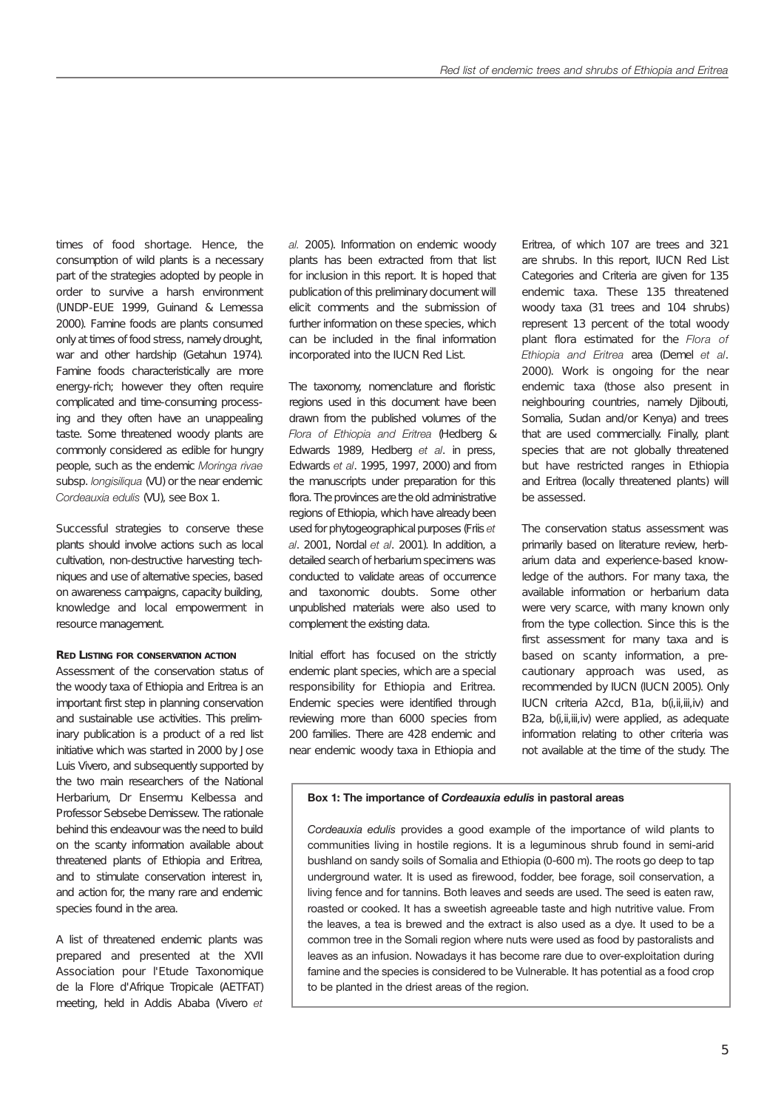times of food shortage. Hence, the consumption of wild plants is a necessary part of the strategies adopted by people in order to survive a harsh environment (UNDP-EUE 1999, Guinand & Lemessa 2000). Famine foods are plants consumed only at times of food stress, namely drought, war and other hardship (Getahun 1974). Famine foods characteristically are more energy-rich; however they often require complicated and time-consuming processing and they often have an unappealing taste. Some threatened woody plants are commonly considered as edible for hungry people, such as the endemic *Moringa rivae* subsp. *longisiliqua* (VU) or the near endemic *Cordeauxia edulis* (VU), see Box 1.

Successful strategies to conserve these plants should involve actions such as local cultivation, non-destructive harvesting techniques and use of alternative species, based on awareness campaigns, capacity building, knowledge and local empowerment in resource management.

#### **RED LISTING FOR CONSERVATION ACTION**

Assessment of the conservation status of the woody taxa of Ethiopia and Eritrea is an important first step in planning conservation and sustainable use activities. This preliminary publication is a product of a red list initiative which was started in 2000 by Jose Luis Vivero, and subsequently supported by the two main researchers of the National Herbarium, Dr Ensermu Kelbessa and Professor Sebsebe Demissew. The rationale behind this endeavour was the need to build on the scanty information available about threatened plants of Ethiopia and Eritrea, and to stimulate conservation interest in, and action for, the many rare and endemic species found in the area.

A list of threatened endemic plants was prepared and presented at the XVII Association pour l'Etude Taxonomique de la Flore d'Afrique Tropicale (AETFAT) meeting, held in Addis Ababa (Vivero *et* *al.* 2005). Information on endemic woody plants has been extracted from that list for inclusion in this report. It is hoped that publication of this preliminary document will elicit comments and the submission of further information on these species, which can be included in the final information incorporated into the IUCN Red List.

The taxonomy, nomenclature and floristic regions used in this document have been drawn from the published volumes of the *Flora of Ethiopia and Eritrea* (Hedberg & Edwards 1989, Hedberg *et al*. in press, Edwards *et al*. 1995, 1997, 2000) and from the manuscripts under preparation for this flora. The provinces are the old administrative regions of Ethiopia, which have already been used for phytogeographical purposes (Friis *et al*. 2001, Nordal *et al*. 2001). In addition, a detailed search of herbarium specimens was conducted to validate areas of occurrence and taxonomic doubts. Some other unpublished materials were also used to complement the existing data.

Initial effort has focused on the strictly endemic plant species, which are a special responsibility for Ethiopia and Eritrea. Endemic species were identified through reviewing more than 6000 species from 200 families. There are 428 endemic and near endemic woody taxa in Ethiopia and

Eritrea, of which 107 are trees and 321 are shrubs. In this report, IUCN Red List Categories and Criteria are given for 135 endemic taxa. These 135 threatened woody taxa (31 trees and 104 shrubs) represent 13 percent of the total woody plant flora estimated for the *Flora of Ethiopia and Eritrea* area (Demel *et al*. 2000). Work is ongoing for the near endemic taxa (those also present in neighbouring countries, namely Djibouti, Somalia, Sudan and/or Kenya) and trees that are used commercially. Finally, plant species that are not globally threatened but have restricted ranges in Ethiopia and Eritrea (locally threatened plants) will be assessed.

The conservation status assessment was primarily based on literature review, herbarium data and experience-based knowledge of the authors. For many taxa, the available information or herbarium data were very scarce, with many known only from the type collection. Since this is the first assessment for many taxa and is based on scanty information, a precautionary approach was used, as recommended by IUCN (IUCN 2005). Only IUCN criteria A2cd, B1a, b(i,ii,iii,iv) and B2a, b(i,ii,iii,iv) were applied, as adequate information relating to other criteria was not available at the time of the study. The

#### **Box 1: The importance of** *Cordeauxia edulis* **in pastoral areas**

*Cordeauxia edulis* provides a good example of the importance of wild plants to communities living in hostile regions. It is a leguminous shrub found in semi-arid bushland on sandy soils of Somalia and Ethiopia (0-600 m). The roots go deep to tap underground water. It is used as firewood, fodder, bee forage, soil conservation, a living fence and for tannins. Both leaves and seeds are used. The seed is eaten raw, roasted or cooked. It has a sweetish agreeable taste and high nutritive value. From the leaves, a tea is brewed and the extract is also used as a dye. It used to be a common tree in the Somali region where nuts were used as food by pastoralists and leaves as an infusion. Nowadays it has become rare due to over-exploitation during famine and the species is considered to be Vulnerable. It has potential as a food crop to be planted in the driest areas of the region.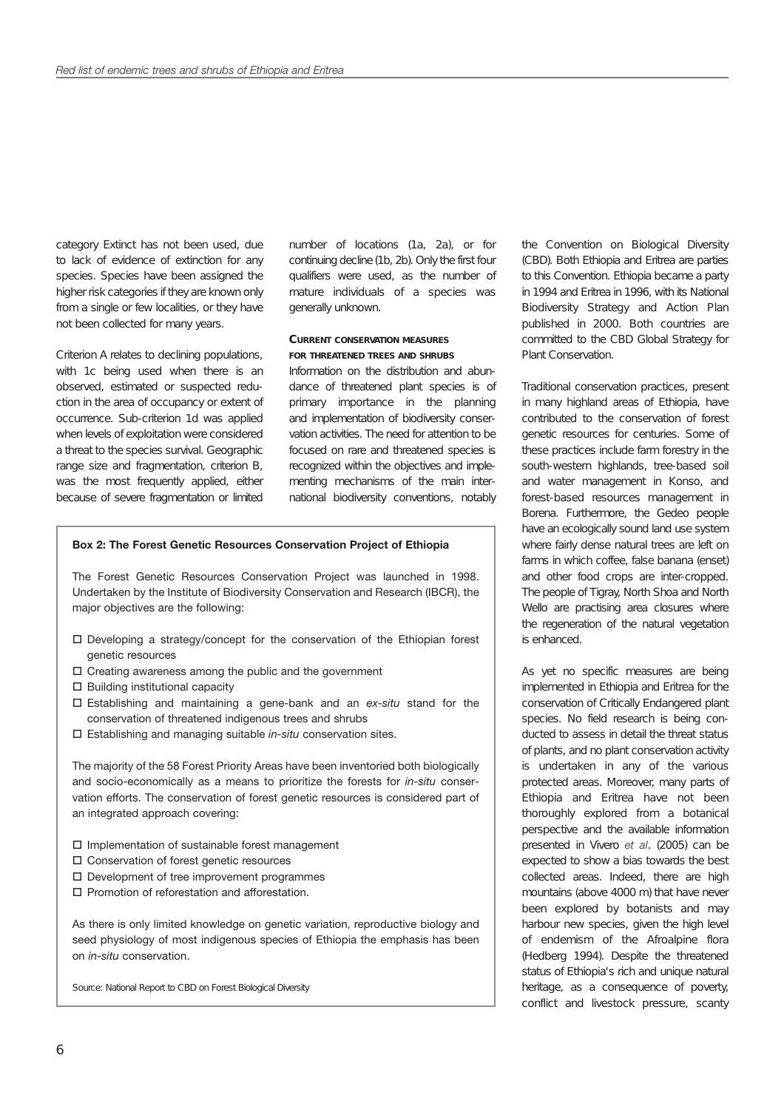category Extinct has not been used, due to lack of evidence of extinction for any species. Species have been assigned the higher risk categories if they are known only from a single or few localities, or they have not been collected for many years.

Criterion A relates to declining populations, with 1c being used when there is an observed, estimated or suspected reduction in the area of occupancy or extent of occurrence. Sub-criterion 1d was applied when levels of exploitation were considered a threat to the species survival. Geographic range size and fragmentation, criterion B, was the most frequently applied, either because of severe fragmentation or limited

number of locations (1a, 2a), or for continuing decline (1b, 2b). Only the first four qualifiers were used, as the number of mature individuals of a species was generally unknown.

#### **CURRENT CONSERVATION MEASURES FOR THREATENED TREES AND SHRUBS**

Information on the distribution and abundance of threatened plant species is of primary importance in the planning and implementation of biodiversity conservation activities. The need for attention to be focused on rare and threatened species is recognized within the objectives and implementing mechanisms of the main international biodiversity conventions, notably

#### **Box 2: The Forest Genetic Resources Conservation Project of Ethiopia**

The Forest Genetic Resources Conservation Project was launched in 1998. Undertaken by the Institute of Biodiversity Conservation and Research (IBCR), the major objectives are the following:

- $\square$  Developing a strategy/concept for the conservation of the Ethiopian forest genetic resources
- $\square$  Creating awareness among the public and the government
- $\square$  Building institutional capacity
- Establishing and maintaining a gene-bank and an *ex-situ* stand for the conservation of threatened indigenous trees and shrubs
- Establishing and managing suitable *in-situ* conservation sites.

The majority of the 58 Forest Priority Areas have been inventoried both biologically and socio-economically as a means to prioritize the forests for *in-situ* conservation efforts. The conservation of forest genetic resources is considered part of an integrated approach covering:

- $\square$  Implementation of sustainable forest management
- Conservation of forest genetic resources
- Development of tree improvement programmes
- □ Promotion of reforestation and afforestation.

As there is only limited knowledge on genetic variation, reproductive biology and seed physiology of most indigenous species of Ethiopia the emphasis has been on *in-situ* conservation.

Source: National Report to CBD on Forest Biological Diversity

the Convention on Biological Diversity (CBD). Both Ethiopia and Eritrea are parties to this Convention. Ethiopia became a party in 1994 and Eritrea in 1996, with its National Biodiversity Strategy and Action Plan published in 2000. Both countries are committed to the CBD Global Strategy for Plant Conservation.

Traditional conservation practices, present in many highland areas of Ethiopia, have contributed to the conservation of forest genetic resources for centuries. Some of these practices include farm forestry in the south-western highlands, tree-based soil and water management in Konso, and forest-based resources management in Borena. Furthermore, the Gedeo people have an ecologically sound land use system where fairly dense natural trees are left on farms in which coffee, false banana (enset) and other food crops are inter-cropped. The people of Tigray, North Shoa and North Wello are practising area closures where the regeneration of the natural vegetation is enhanced.

As yet no specific measures are being implemented in Ethiopia and Eritrea for the conservation of Critically Endangered plant species. No field research is being conducted to assess in detail the threat status of plants, and no plant conservation activity is undertaken in any of the various protected areas. Moreover, many parts of Ethiopia and Eritrea have not been thoroughly explored from a botanical perspective and the available information presented in Vivero *et al*. (2005) can be expected to show a bias towards the best collected areas. Indeed, there are high mountains (above 4000 m) that have never been explored by botanists and may harbour new species, given the high level of endemism of the Afroalpine flora (Hedberg 1994). Despite the threatened status of Ethiopia's rich and unique natural heritage, as a consequence of poverty, conflict and livestock pressure, scanty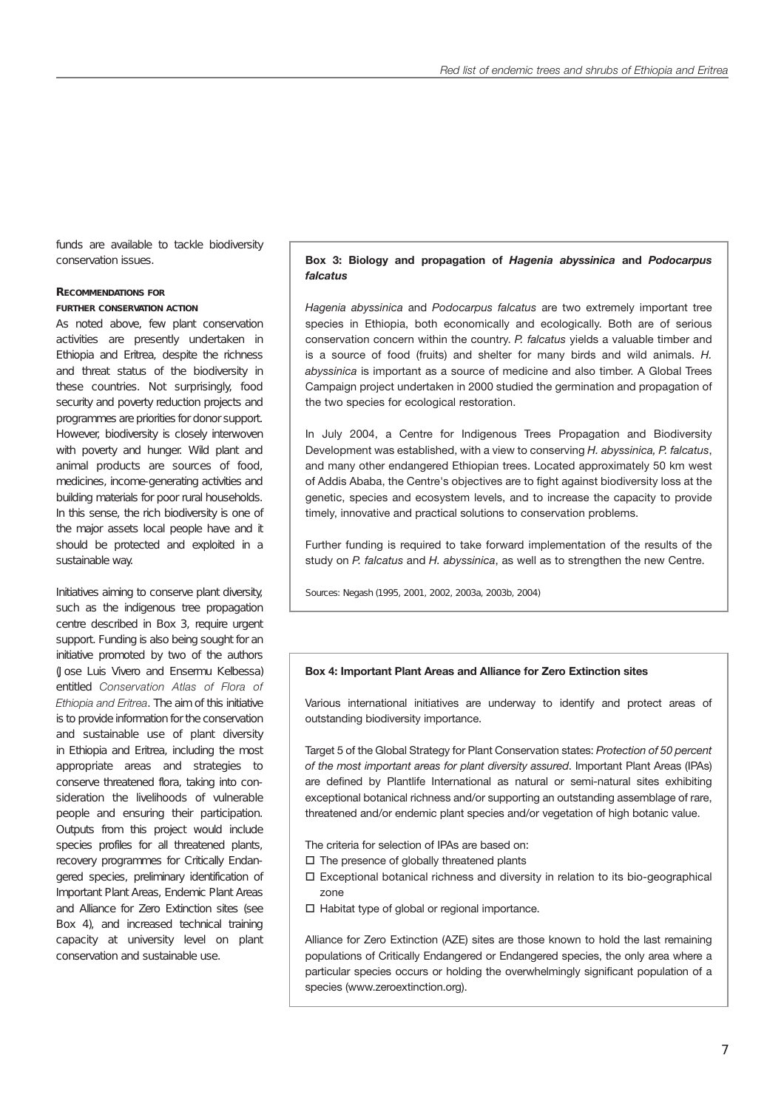funds are available to tackle biodiversity conservation issues.

#### **RECOMMENDATIONS FOR**

#### **FURTHER CONSERVATION ACTION**

As noted above, few plant conservation activities are presently undertaken in Ethiopia and Eritrea, despite the richness and threat status of the biodiversity in these countries. Not surprisingly, food security and poverty reduction projects and programmes are priorities for donor support. However, biodiversity is closely interwoven with poverty and hunger. Wild plant and animal products are sources of food, medicines, income-generating activities and building materials for poor rural households. In this sense, the rich biodiversity is one of the major assets local people have and it should be protected and exploited in a sustainable way.

Initiatives aiming to conserve plant diversity, such as the indigenous tree propagation centre described in Box 3, require urgent support. Funding is also being sought for an initiative promoted by two of the authors (Jose Luis Vivero and Ensermu Kelbessa) entitled *Conservation Atlas of Flora of Ethiopia and Eritrea*. The aim of this initiative is to provide information for the conservation and sustainable use of plant diversity in Ethiopia and Eritrea, including the most appropriate areas and strategies to conserve threatened flora, taking into consideration the livelihoods of vulnerable people and ensuring their participation. Outputs from this project would include species profiles for all threatened plants, recovery programmes for Critically Endangered species, preliminary identification of Important Plant Areas, Endemic Plant Areas and Alliance for Zero Extinction sites (see Box 4), and increased technical training capacity at university level on plant conservation and sustainable use.

#### **Box 3: Biology and propagation of** *Hagenia abyssinica* **and** *Podocarpus falcatus*

*Hagenia abyssinica* and *Podocarpus falcatus* are two extremely important tree species in Ethiopia, both economically and ecologically. Both are of serious conservation concern within the country. *P. falcatus* yields a valuable timber and is a source of food (fruits) and shelter for many birds and wild animals. *H. abyssinica* is important as a source of medicine and also timber. A Global Trees Campaign project undertaken in 2000 studied the germination and propagation of the two species for ecological restoration.

In July 2004, a Centre for Indigenous Trees Propagation and Biodiversity Development was established, with a view to conserving *H. abyssinica, P. falcatus*, and many other endangered Ethiopian trees. Located approximately 50 km west of Addis Ababa, the Centre's objectives are to fight against biodiversity loss at the genetic, species and ecosystem levels, and to increase the capacity to provide timely, innovative and practical solutions to conservation problems.

Further funding is required to take forward implementation of the results of the study on *P. falcatus* and *H. abyssinica*, as well as to strengthen the new Centre.

Sources: Negash (1995, 2001, 2002, 2003a, 2003b, 2004)

#### **Box 4: Important Plant Areas and Alliance for Zero Extinction sites**

Various international initiatives are underway to identify and protect areas of outstanding biodiversity importance.

Target 5 of the Global Strategy for Plant Conservation states: *Protection of 50 percent of the most important areas for plant diversity assured*. Important Plant Areas (IPAs) are defined by Plantlife International as natural or semi-natural sites exhibiting exceptional botanical richness and/or supporting an outstanding assemblage of rare, threatened and/or endemic plant species and/or vegetation of high botanic value.

The criteria for selection of IPAs are based on:

- $\Box$  The presence of globally threatened plants
- Exceptional botanical richness and diversity in relation to its bio-geographical zone
- $\Box$  Habitat type of global or regional importance.

Alliance for Zero Extinction (AZE) sites are those known to hold the last remaining populations of Critically Endangered or Endangered species, the only area where a particular species occurs or holding the overwhelmingly significant population of a species (www.zeroextinction.org).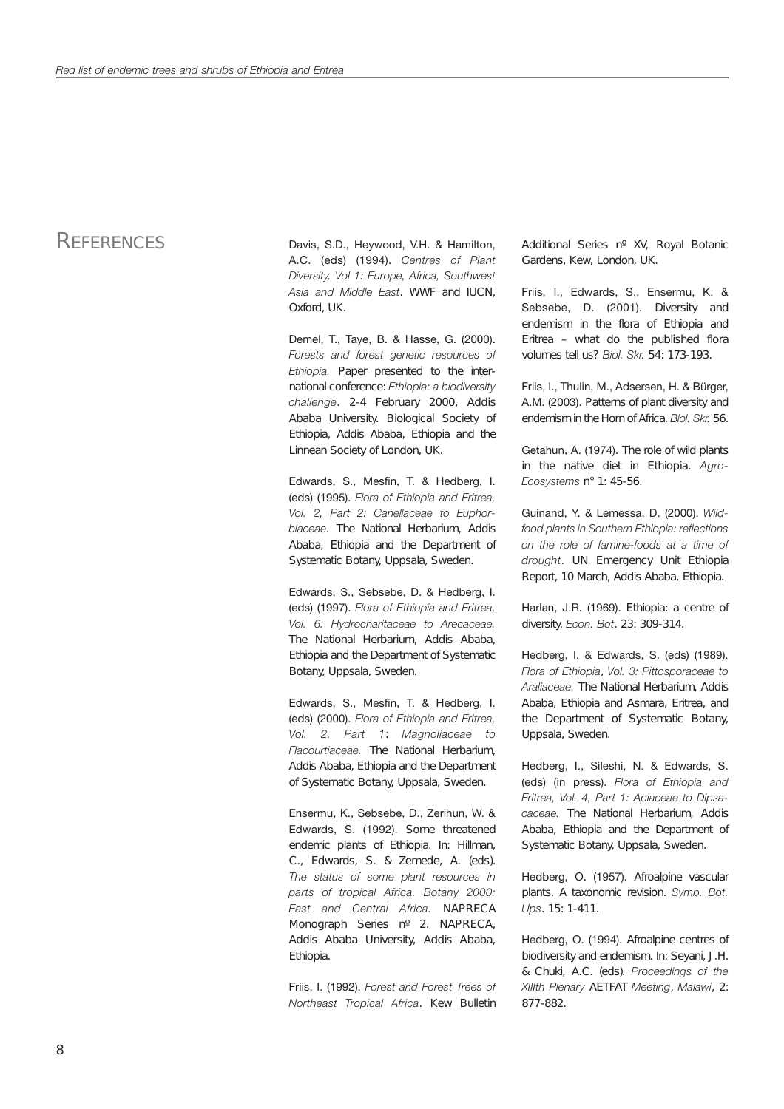REFERENCES Davis, S.D., Heywood, V.H. & Hamilton, A.C. (eds) (1994). *Centres of Plant Diversity. Vol 1: Europe, Africa, Southwest Asia and Middle East*. WWF and IUCN, Oxford, UK.

> Demel, T., Taye, B. & Hasse, G. (2000). *Forests and forest genetic resources of Ethiopia.* Paper presented to the international conference: *Ethiopia: a biodiversity challenge*. 2-4 February 2000, Addis Ababa University. Biological Society of Ethiopia, Addis Ababa, Ethiopia and the Linnean Society of London, UK.

> Edwards, S., Mesfin, T. & Hedberg, I. (eds) (1995). *Flora of Ethiopia and Eritrea, Vol. 2, Part 2: Canellaceae to Euphorbiaceae.* The National Herbarium, Addis Ababa, Ethiopia and the Department of Systematic Botany, Uppsala, Sweden.

> Edwards, S., Sebsebe, D. & Hedberg, I. (eds) (1997). *Flora of Ethiopia and Eritrea, Vol. 6: Hydrocharitaceae to Arecaceae.* The National Herbarium, Addis Ababa, Ethiopia and the Department of Systematic Botany, Uppsala, Sweden.

> Edwards, S., Mesfin, T. & Hedberg, I. (eds) (2000). *Flora of Ethiopia and Eritrea, Vol. 2, Part 1*: *Magnoliaceae to Flacourtiaceae.* The National Herbarium, Addis Ababa, Ethiopia and the Department of Systematic Botany, Uppsala, Sweden.

> Ensermu, K., Sebsebe, D., Zerihun, W. & Edwards, S. (1992). Some threatened endemic plants of Ethiopia. In: Hillman, C., Edwards, S. & Zemede, A. (eds). *The status of some plant resources in parts of tropical Africa. Botany 2000: East and Central Africa.* NAPRECA Monograph Series nº 2. NAPRECA, Addis Ababa University, Addis Ababa, Ethiopia.

> Friis, I. (1992). *Forest and Forest Trees of Northeast Tropical Africa*. Kew Bulletin

Additional Series nº XV, Royal Botanic Gardens, Kew, London, UK.

Friis, I., Edwards, S., Ensermu, K. & Sebsebe, D. (2001). Diversity and endemism in the flora of Ethiopia and Eritrea – what do the published flora volumes tell us? *Biol. Skr.* 54: 173-193.

Friis, I., Thulin, M., Adsersen, H. & Bürger, A.M. (2003). Patterns of plant diversity and endemism in the Horn of Africa. *Biol. Skr.* 56.

Getahun, A. (1974). The role of wild plants in the native diet in Ethiopia. *Agro-Ecosystems* n° 1: 45-56.

Guinand, Y. & Lemessa, D. (2000). *Wildfood plants in Southern Ethiopia: reflections on the role of famine-foods at a time of drought*. UN Emergency Unit Ethiopia Report, 10 March, Addis Ababa, Ethiopia.

Harlan, J.R. (1969). Ethiopia: a centre of diversity. *Econ. Bot*. 23: 309-314.

Hedberg, I. & Edwards, S. (eds) (1989). *Flora of Ethiopia*, *Vol. 3: Pittosporaceae to Araliaceae.* The National Herbarium, Addis Ababa, Ethiopia and Asmara, Eritrea, and the Department of Systematic Botany, Uppsala, Sweden.

Hedberg, I., Sileshi, N. & Edwards, S. (eds) (in press). *Flora of Ethiopia and Eritrea, Vol. 4, Part 1: Apiaceae to Dipsacaceae.* The National Herbarium, Addis Ababa, Ethiopia and the Department of Systematic Botany, Uppsala, Sweden.

Hedberg, O. (1957). Afroalpine vascular plants. A taxonomic revision. *Symb. Bot. Ups*. 15: 1-411.

Hedberg, O. (1994). Afroalpine centres of biodiversity and endemism. In: Seyani, J.H. & Chuki, A.C. (eds). *Proceedings of the XIIIth Plenary* AETFAT *Meeting*, *Malawi*, 2: 877-882.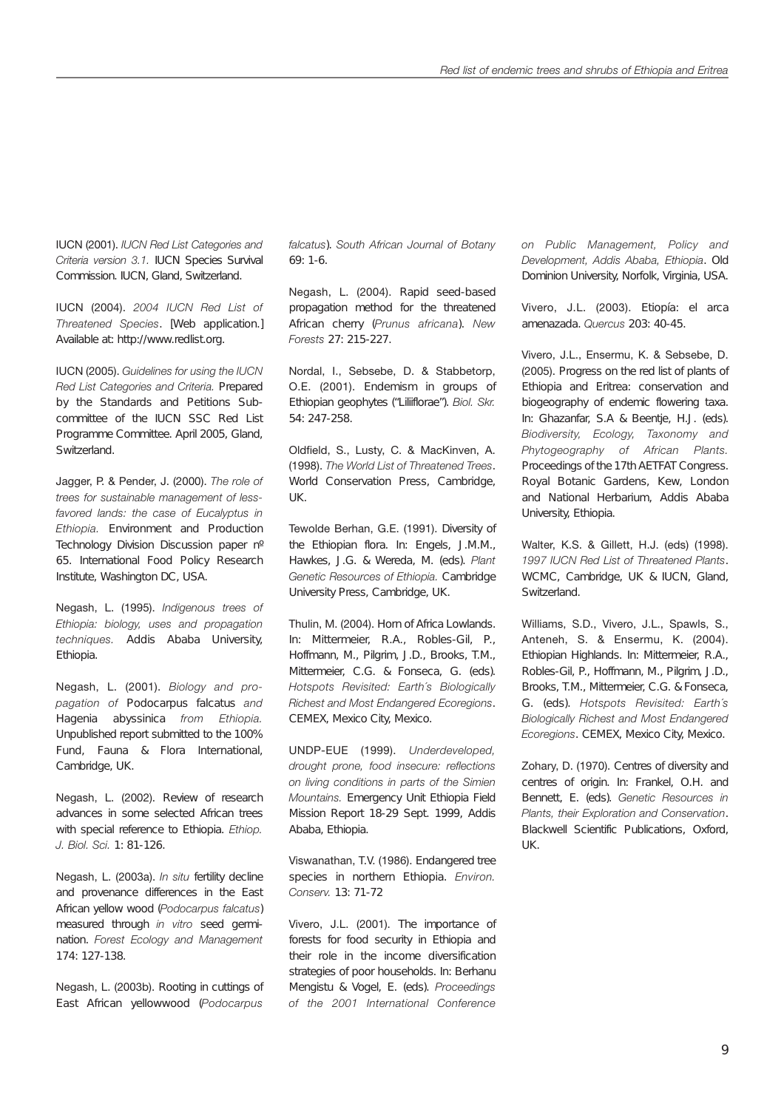IUCN (2001). *IUCN Red List Categories and Criteria version 3.1.* IUCN Species Survival Commission. IUCN, Gland, Switzerland.

IUCN (2004). *2004 IUCN Red List of Threatened Species*. [Web application.] Available at: http://www.redlist.org.

IUCN (2005). *Guidelines for using the IUCN Red List Categories and Criteria.* Prepared by the Standards and Petitions Subcommittee of the IUCN SSC Red List Programme Committee. April 2005, Gland, Switzerland.

Jagger, P. & Pender, J. (2000). *The role of trees for sustainable management of lessfavored lands: the case of Eucalyptus in Ethiopia.* Environment and Production Technology Division Discussion paper nº 65. International Food Policy Research Institute, Washington DC, USA.

Negash, L. (1995). *Indigenous trees of Ethiopia: biology, uses and propagation techniques.* Addis Ababa University, Ethiopia.

Negash, L. (2001). *Biology and propagation of* Podocarpus falcatus *and* Hagenia abyssinica *from Ethiopia.* Unpublished report submitted to the 100% Fund, Fauna & Flora International, Cambridge, UK.

Negash, L. (2002). Review of research advances in some selected African trees with special reference to Ethiopia. *Ethiop. J. Biol. Sci.* 1: 81-126.

Negash, L. (2003a). *In situ* fertility decline and provenance differences in the East African yellow wood (*Podocarpus falcatus*) measured through *in vitro* seed germination. *Forest Ecology and Management* 174: 127-138.

Negash, L. (2003b). Rooting in cuttings of East African yellowwood (*Podocarpus* *falcatus*). *South African Journal of Botany* 69: 1-6.

Negash, L. (2004). Rapid seed-based propagation method for the threatened African cherry (*Prunus africana*). *New Forests* 27: 215-227.

Nordal, I., Sebsebe, D. & Stabbetorp, O.E. (2001). Endemism in groups of Ethiopian geophytes ("Liliiflorae"). *Biol. Skr.* 54: 247-258.

Oldfield, S., Lusty, C. & MacKinven, A. (1998). *The World List of Threatened Trees*. World Conservation Press, Cambridge, UK.

Tewolde Berhan, G.E. (1991). Diversity of the Ethiopian flora. In: Engels, J.M.M., Hawkes, J.G. & Wereda, M. (eds). *Plant Genetic Resources of Ethiopia.* Cambridge University Press, Cambridge, UK.

Thulin, M. (2004). Horn of Africa Lowlands. In: Mittermeier, R.A., Robles-Gil, P., Hoffmann, M., Pilgrim, J.D., Brooks, T.M., Mittermeier, C.G. & Fonseca, G. (eds). *Hotspots Revisited: Earth´s Biologically Richest and Most Endangered Ecoregions*. CEMEX, Mexico City, Mexico.

UNDP-EUE (1999). *Underdeveloped, drought prone, food insecure: reflections on living conditions in parts of the Simien Mountains.* Emergency Unit Ethiopia Field Mission Report 18-29 Sept. 1999, Addis Ababa, Ethiopia.

Viswanathan, T.V. (1986). Endangered tree species in northern Ethiopia. *Environ. Conserv.* 13: 71-72

Vivero, J.L. (2001). The importance of forests for food security in Ethiopia and their role in the income diversification strategies of poor households. In: Berhanu Mengistu & Vogel, E. (eds). *Proceedings of the 2001 International Conference* 

*on Public Management, Policy and Development, Addis Ababa, Ethiopia*. Old Dominion University, Norfolk, Virginia, USA.

Vivero, J.L. (2003). Etiopía: el arca amenazada. *Quercus* 203: 40-45.

Vivero, J.L., Ensermu, K. & Sebsebe, D. (2005). Progress on the red list of plants of Ethiopia and Eritrea: conservation and biogeography of endemic flowering taxa. In: Ghazanfar, S.A & Beentje, H.J. (eds). *Biodiversity, Ecology, Taxonomy and Phytogeography of African Plants.* Proceedings of the 17th AETFAT Congress. Royal Botanic Gardens, Kew, London and National Herbarium, Addis Ababa University, Ethiopia.

Walter, K.S. & Gillett, H.J. (eds) (1998). *1997 IUCN Red List of Threatened Plants*. WCMC, Cambridge, UK & IUCN, Gland, Switzerland.

Williams, S.D., Vivero, J.L., Spawls, S., Anteneh, S. & Ensermu, K. (2004). Ethiopian Highlands. In: Mittermeier, R.A., Robles-Gil, P., Hoffmann, M., Pilgrim, J.D., Brooks, T.M., Mittermeier, C.G. & Fonseca, G. (eds). *Hotspots Revisited: Earth´s Biologically Richest and Most Endangered Ecoregions*. CEMEX, Mexico City, Mexico.

Zohary, D. (1970). Centres of diversity and centres of origin. In: Frankel, O.H. and Bennett, E. (eds). *Genetic Resources in Plants, their Exploration and Conservation*. Blackwell Scientific Publications, Oxford, UK.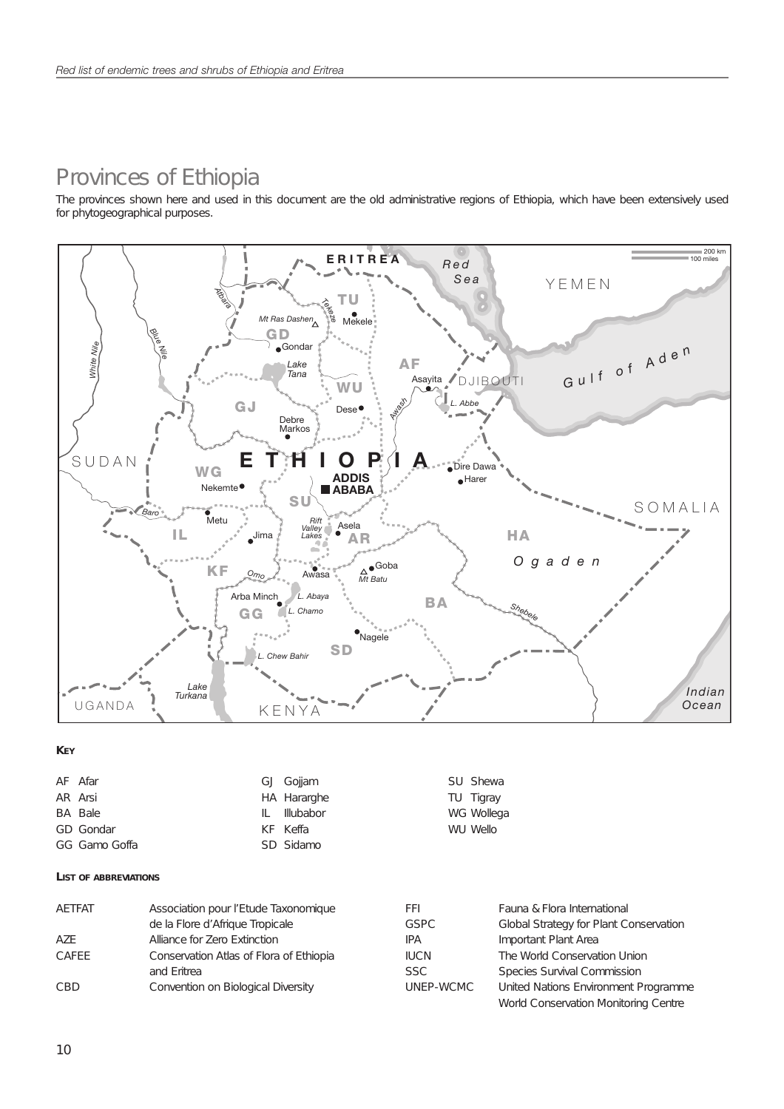### Provinces of Ethiopia

The provinces shown here and used in this document are the old administrative regions of Ethiopia, which have been extensively used for phytogeographical purposes.



#### **KEY**

| AF Afar       | GJ Gojjam    |
|---------------|--------------|
| AR Arsi       | HA Hararghe  |
| BA Bale       | IL Illubabor |
| GD Gondar     | KF Keffa     |
| GG Gamo Goffa | SD Sidamo    |

#### **LIST OF ABBREVIATIONS**

| <b>AETFAT</b> | Association pour l'Etude Taxonomique    | FFI         | Fauna & Flora International            |
|---------------|-----------------------------------------|-------------|----------------------------------------|
|               | de la Flore d'Afrique Tropicale         | <b>GSPC</b> | Global Strategy for Plant Conservation |
| <b>AZE</b>    | Alliance for Zero Extinction            | IPA         | Important Plant Area                   |
| CAFEE         | Conservation Atlas of Flora of Ethiopia | <b>IUCN</b> | The World Conservation Union           |
|               | and Eritrea                             | SSC.        | Species Survival Commission            |
| <b>CBD</b>    | Convention on Biological Diversity      | UNEP-WCMC   | United Nations Environment Programme   |
|               |                                         |             | World Conservation Monitoring Centre   |

SU Shewa TU Tigray WG Wollega WU Wello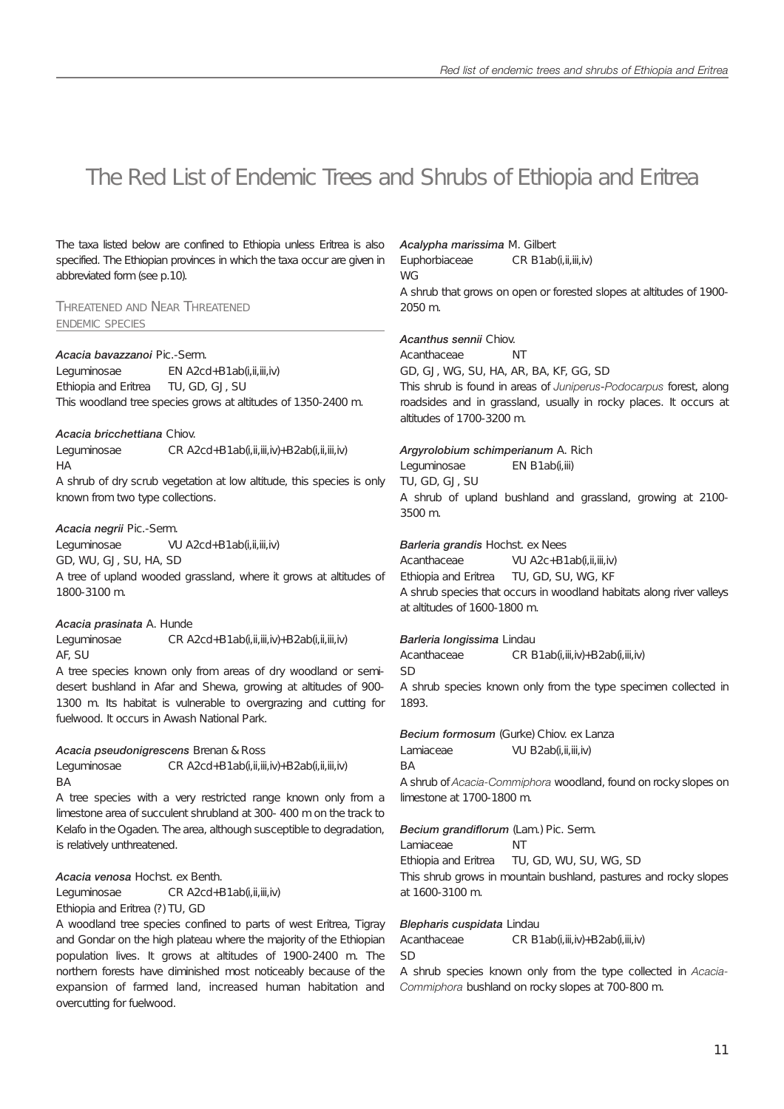### The Red List of Endemic Trees and Shrubs of Ethiopia and Eritrea

The taxa listed below are confined to Ethiopia unless Eritrea is also specified. The Ethiopian provinces in which the taxa occur are given in abbreviated form (see p.10).

#### THREATENED AND NEAR THREATENED ENDEMIC SPECIES

#### *Acacia bavazzanoi* Pic.-Serm.

Leguminosae EN A2cd+B1ab(i,ii,iii,iv) Ethiopia and Eritrea TU, GD, GJ, SU This woodland tree species grows at altitudes of 1350-2400 m.

#### *Acacia bricchettiana* Chiov.

Leguminosae CR A2cd+B1ab(i,ii,iii,iv)+B2ab(i,ii,iii,iv) HA A shrub of dry scrub vegetation at low altitude, this species is only known from two type collections.

#### *Acacia negrii* Pic.-Serm.

Leguminosae VU A2cd+B1ab(i,ii,iii,iv) GD, WU, GJ, SU, HA, SD A tree of upland wooded grassland, where it grows at altitudes of 1800-3100 m.

#### *Acacia prasinata* A. Hunde

Leguminosae CR A2cd+B1ab(i,ii,iii,iv)+B2ab(i,ii,iii,iv) AF, SU

A tree species known only from areas of dry woodland or semidesert bushland in Afar and Shewa, growing at altitudes of 900- 1300 m. Its habitat is vulnerable to overgrazing and cutting for fuelwood. It occurs in Awash National Park.

#### *Acacia pseudonigrescens* Brenan & Ross

Leguminosae CR A2cd+B1ab(i,ii,iii,iv)+B2ab(i,ii,iii,iv) **BA** 

A tree species with a very restricted range known only from a limestone area of succulent shrubland at 300- 400 m on the track to Kelafo in the Ogaden. The area, although susceptible to degradation, is relatively unthreatened.

#### *Acacia venosa* Hochst. ex Benth.

Leguminosae CR A2cd+B1ab(i,ii,iii,iv)

Ethiopia and Eritrea (?) TU, GD

A woodland tree species confined to parts of west Eritrea, Tigray and Gondar on the high plateau where the majority of the Ethiopian population lives. It grows at altitudes of 1900-2400 m. The northern forests have diminished most noticeably because of the expansion of farmed land, increased human habitation and overcutting for fuelwood.

#### *Acalypha marissima* M. Gilbert

Euphorbiaceae CR B1ab(i,ii,iii,iv) WG A shrub that grows on open or forested slopes at altitudes of 1900- 2050 m.

*Acanthus sennii* Chiov.

Acanthaceae NT GD, GJ, WG, SU, HA, AR, BA, KF, GG, SD This shrub is found in areas of *Juniperus*-*Podocarpus* forest, along roadsides and in grassland, usually in rocky places. It occurs at altitudes of 1700-3200 m.

#### *Argyrolobium schimperianum* A. Rich

Leguminosae EN B1ab(i, iii) TU, GD, GJ, SU A shrub of upland bushland and grassland, growing at 2100- 3500 m.

#### *Barleria grandis* Hochst. ex Nees

Acanthaceae VU A2c+B1ab(i,ii,iii,iv) Ethiopia and Eritrea TU, GD, SU, WG, KF A shrub species that occurs in woodland habitats along river valleys at altitudes of 1600-1800 m.

#### *Barleria longissima* Lindau

Acanthaceae CR B1ab(i,iii,iv)+B2ab(i,iii,iv)  $SD$ 

A shrub species known only from the type specimen collected in 1893.

*Becium formosum* (Gurke) Chiov. ex Lanza Lamiaceae VU B2ab(i,ii,iii,iv)

#### **BA**

A shrub of *Acacia-Commiphora* woodland, found on rocky slopes on limestone at 1700-1800 m.

#### *Becium grandiflorum* (Lam.) Pic. Serm.

Lamiaceae NT Ethiopia and Eritrea TU, GD, WU, SU, WG, SD This shrub grows in mountain bushland, pastures and rocky slopes at 1600-3100 m.

#### *Blepharis cuspidata* Lindau

Acanthaceae CR B1ab(i,iii,iv)+B2ab(i,iii,iv) SD

A shrub species known only from the type collected in *Acacia-Commiphora* bushland on rocky slopes at 700-800 m.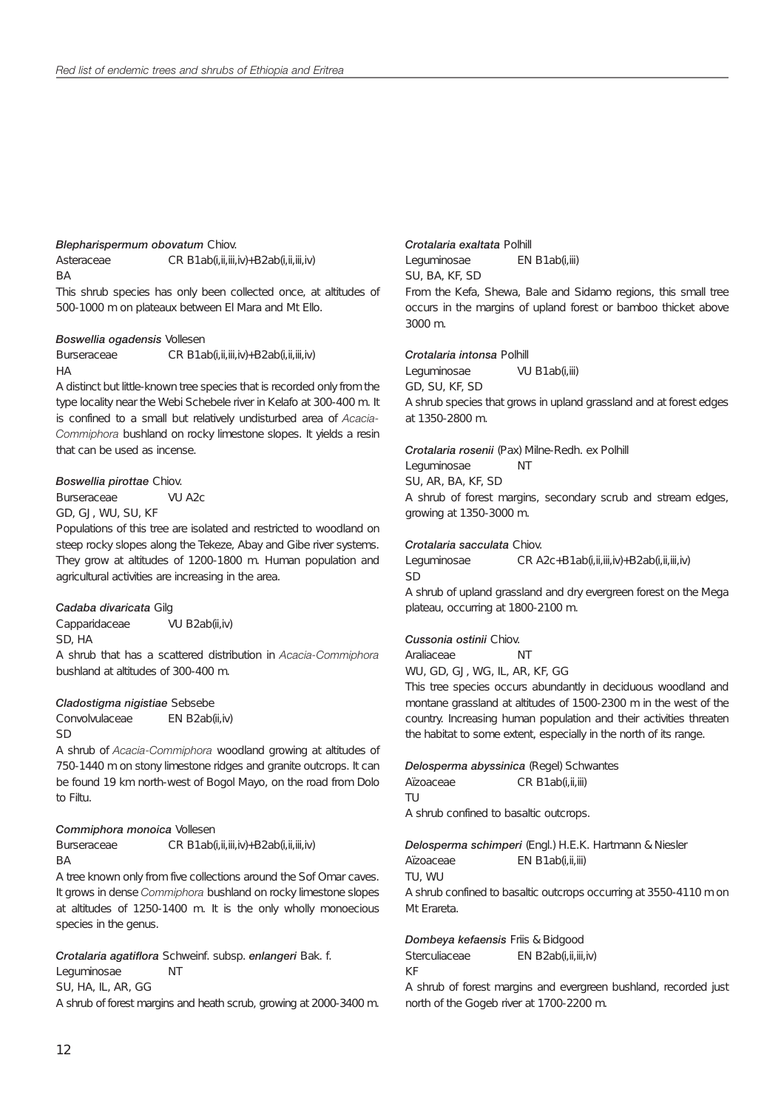#### *Blepharispermum obovatum* Chiov.

Asteraceae CR B1ab(i,ii,iii,iv)+B2ab(i,ii,iii,iv) BA

This shrub species has only been collected once, at altitudes of 500-1000 m on plateaux between El Mara and Mt Ello.

#### *Boswellia ogadensis* Vollesen

Burseraceae CR B1ab(i,ii,iii,iv)+B2ab(i,ii,iii,iv) HA

A distinct but little-known tree species that is recorded only from the type locality near the Webi Schebele river in Kelafo at 300-400 m. It is confined to a small but relatively undisturbed area of *Acacia-Commiphora* bushland on rocky limestone slopes. It yields a resin that can be used as incense.

#### *Boswellia pirottae* Chiov.

Burseraceae VU A2c

GD, GJ, WU, SU, KF

Populations of this tree are isolated and restricted to woodland on steep rocky slopes along the Tekeze, Abay and Gibe river systems. They grow at altitudes of 1200-1800 m. Human population and agricultural activities are increasing in the area.

#### *Cadaba divaricata* Gilg

Capparidaceae VU B2ab(ii,iv) SD, HA

A shrub that has a scattered distribution in *Acacia-Commiphora* bushland at altitudes of 300-400 m.

#### *Cladostigma nigistiae* Sebsebe

Convolvulaceae EN B2ab(ii,iv) SD

A shrub of *Acacia-Commiphora* woodland growing at altitudes of 750-1440 m on stony limestone ridges and granite outcrops. It can be found 19 km north-west of Bogol Mayo, on the road from Dolo to Filtu.

#### *Commiphora monoica* Vollesen

Burseraceae CR B1ab(i, ii, iii, iv) + B2ab(i, ii, iii, iv) BA

A tree known only from five collections around the Sof Omar caves. It grows in dense *Commiphora* bushland on rocky limestone slopes at altitudes of 1250-1400 m. It is the only wholly monoecious species in the genus.

#### *Crotalaria agatiflora* Schweinf. subsp. *enlangeri* Bak. f.

Leguminosae NT SU, HA, IL, AR, GG A shrub of forest margins and heath scrub, growing at 2000-3400 m.

#### *Crotalaria exaltata* Polhill

Leguminosae EN B1ab(i,iii) SU, BA, KF, SD

From the Kefa, Shewa, Bale and Sidamo regions, this small tree occurs in the margins of upland forest or bamboo thicket above 3000 m.

#### *Crotalaria intonsa* Polhill

Leguminosae VU B1ab(i,iii) GD, SU, KF, SD A shrub species that grows in upland grassland and at forest edges at 1350-2800 m.

#### *Crotalaria rosenii* (Pax) Milne-Redh. ex Polhill

Leguminosae NT SU, AR, BA, KF, SD A shrub of forest margins, secondary scrub and stream edges, growing at 1350-3000 m.

#### *Crotalaria sacculata* Chiov.

Leguminosae CR A2c+B1ab(i,ii,iii,iv)+B2ab(i,ii,iii,iv) SD

A shrub of upland grassland and dry evergreen forest on the Mega plateau, occurring at 1800-2100 m.

#### *Cussonia ostinii* Chiov.

Araliaceae NT

WU, GD, GJ, WG, IL, AR, KF, GG

This tree species occurs abundantly in deciduous woodland and montane grassland at altitudes of 1500-2300 m in the west of the country. Increasing human population and their activities threaten the habitat to some extent, especially in the north of its range.

#### *Delosperma abyssinica* (Regel) Schwantes

| Aïzoaceae | CR B1ab(i, ii, iii)                    |
|-----------|----------------------------------------|
| TU        |                                        |
|           | A shrub confined to basaltic outcrops. |

#### *Delosperma schimperi* (Engl.) H.E.K. Hartmann & Niesler

Aïzoaceae EN B1ab(i, ii, iii)

TU, WU A shrub confined to basaltic outcrops occurring at 3550-4110 m on Mt Erareta.

#### *Dombeya kefaensis* Friis & Bidgood

Sterculiaceae EN B2ab(i,ii,iii,iv) KF

A shrub of forest margins and evergreen bushland, recorded just north of the Gogeb river at 1700-2200 m.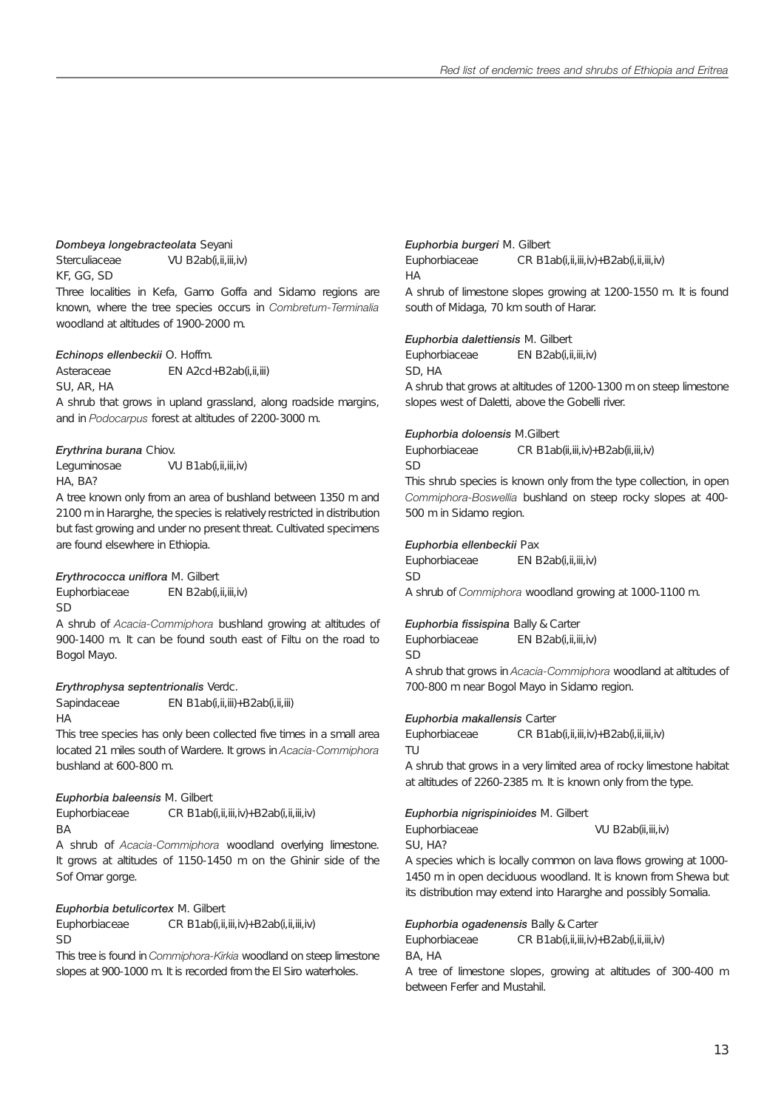#### *Dombeya longebracteolata* Seyani

Sterculiaceae VU B2ab(i,ii,iii,iv)

KF, GG, SD

Three localities in Kefa, Gamo Goffa and Sidamo regions are known, where the tree species occurs in *Combretum-Terminalia* woodland at altitudes of 1900-2000 m.

#### *Echinops ellenbeckii* O. Hoffm.

Asteraceae EN A2cd+B2ab(i, ii, iii) SU, AR, HA A shrub that grows in upland grassland, along roadside margins,

and in *Podocarpus* forest at altitudes of 2200-3000 m.

#### *Erythrina burana* Chiov.

Leguminosae VU B1ab(i,ii,iii,iv) HA, BA?

A tree known only from an area of bushland between 1350 m and 2100 m in Hararghe, the species is relatively restricted in distribution but fast growing and under no present threat. Cultivated specimens are found elsewhere in Ethiopia.

#### *Erythrococca uniflora* M. Gilbert

Euphorbiaceae EN B2ab(i,ii,iii,iv) SD

A shrub of *Acacia-Commiphora* bushland growing at altitudes of 900-1400 m. It can be found south east of Filtu on the road to Bogol Mayo.

#### *Erythrophysa septentrionalis* Verdc.

Sapindaceae EN B1ab(i,ii,iii)+B2ab(i,ii,iii) HA

This tree species has only been collected five times in a small area located 21 miles south of Wardere. It grows in *Acacia-Commiphora* bushland at 600-800 m.

#### *Euphorbia baleensis* M. Gilbert

Euphorbiaceae CR B1ab(i,ii,iii,iv)+B2ab(i,ii,iii,iv) BA

A shrub of *Acacia-Commiphora* woodland overlying limestone. It grows at altitudes of 1150-1450 m on the Ghinir side of the Sof Omar gorge.

#### *Euphorbia betulicortex* M. Gilbert

Euphorbiaceae CR B1ab(i, ii, iii, iv) + B2ab(i, ii, iii, iv) SD

This tree is found in *Commiphora-Kirkia* woodland on steep limestone slopes at 900-1000 m. It is recorded from the El Siro waterholes.

#### *Euphorbia burgeri* M. Gilbert

Euphorbiaceae CR B1ab(i,ii,iii,iv)+B2ab(i,ii,iii,iv) HA

A shrub of limestone slopes growing at 1200-1550 m. It is found south of Midaga, 70 km south of Harar.

#### *Euphorbia dalettiensis* M. Gilbert

Euphorbiaceae EN B2ab(i,ii,iii,iv) SD, HA A shrub that grows at altitudes of 1200-1300 m on steep limestone slopes west of Daletti, above the Gobelli river.

#### *Euphorbia doloensis* M.Gilbert

Euphorbiaceae CR B1ab(ii,iii,iv)+B2ab(ii,iii,iv) SD

This shrub species is known only from the type collection, in open *Commiphora-Boswellia* bushland on steep rocky slopes at 400- 500 m in Sidamo region.

#### *Euphorbia ellenbeckii* Pax

Euphorbiaceae EN B2ab(i,ii,iii,iv) SD A shrub of *Commiphora* woodland growing at 1000-1100 m.

*Euphorbia fissispina* Bally & Carter Euphorbiaceae EN B2ab(i, ii, iii, iv) SD

A shrub that grows in *Acacia-Commiphora* woodland at altitudes of 700-800 m near Bogol Mayo in Sidamo region.

#### *Euphorbia makallensis* Carter

Euphorbiaceae CR B1ab(i,ii,iii,iv)+B2ab(i,ii,iii,iv) TU

A shrub that grows in a very limited area of rocky limestone habitat at altitudes of 2260-2385 m. It is known only from the type.

#### *Euphorbia nigrispinioides* M. Gilbert

Euphorbiaceae VU B2ab(ii,iii,iv) SU, HA?

A species which is locally common on lava flows growing at 1000- 1450 m in open deciduous woodland. It is known from Shewa but its distribution may extend into Hararghe and possibly Somalia.

#### *Euphorbia ogadenensis* Bally & Carter

Euphorbiaceae CR B1ab(i,ii,iii,iv)+B2ab(i,ii,iii,iv) BA, HA

A tree of limestone slopes, growing at altitudes of 300-400 m between Ferfer and Mustahil.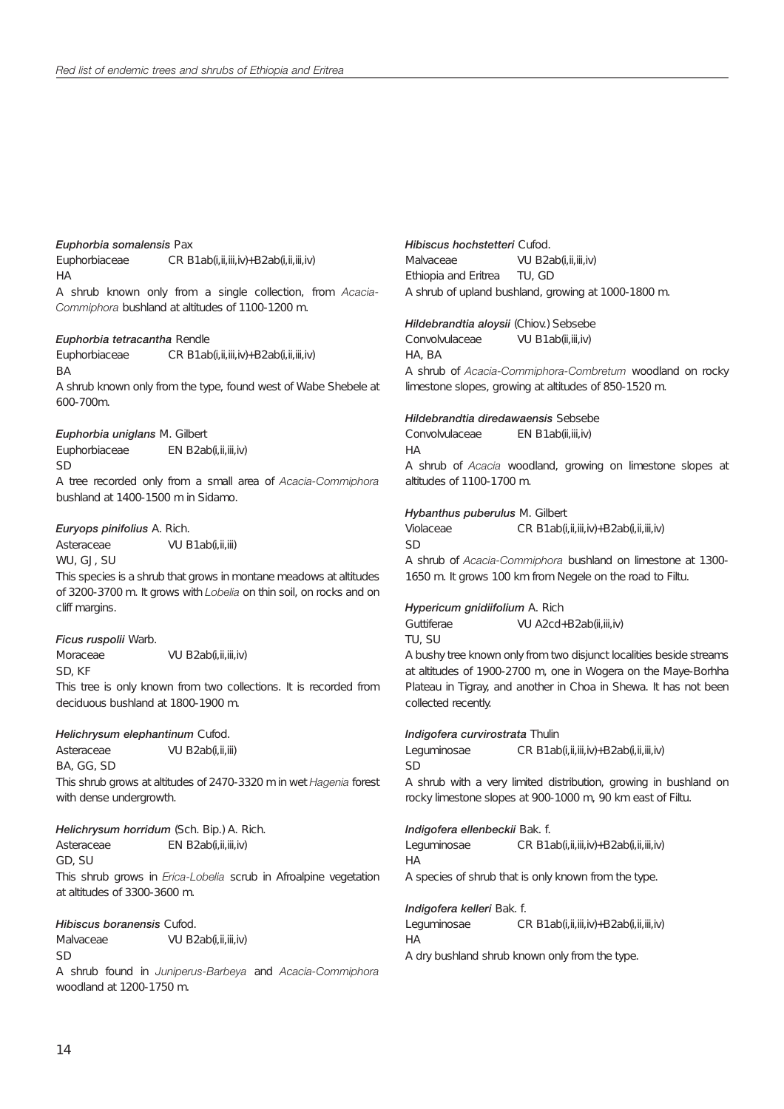#### *Euphorbia somalensis* Pax

Euphorbiaceae CR B1ab(i,ii,iii,iv)+B2ab(i,ii,iii,iv) HA

A shrub known only from a single collection, from *Acacia-Commiphora* bushland at altitudes of 1100-1200 m.

#### *Euphorbia tetracantha* Rendle

Euphorbiaceae CR B1ab(i,ii,iii,iv)+B2ab(i,ii,iii,iv) BA A shrub known only from the type, found west of Wabe Shebele at 600-700m.

#### *Euphorbia uniglans* M. Gilbert

Euphorbiaceae EN B2ab(i,ii,iii,iv) SD A tree recorded only from a small area of *Acacia-Commiphora* bushland at 1400-1500 m in Sidamo.

#### *Euryops pinifolius* A. Rich.

Asteraceae VU B1ab(i, ii, iii) WU, GJ, SU This species is a shrub that grows in montane meadows at altitudes of 3200-3700 m. It grows with *Lobelia* on thin soil, on rocks and on cliff margins.

#### *Ficus ruspolii* Warb.

Moraceae VU B2ab(i,ii,iii,iv) SD, KF

This tree is only known from two collections. It is recorded from deciduous bushland at 1800-1900 m.

#### *Helichrysum elephantinum* Cufod.

Asteraceae VU B2ab(i, ii, iii)

BA, GG, SD This shrub grows at altitudes of 2470-3320 m in wet *Hagenia* forest with dense undergrowth.

#### *Helichrysum horridum* (Sch. Bip.) A. Rich.

Asteraceae EN B2ab(i,ii,iii,iv) GD, SU This shrub grows in *Erica-Lobelia* scrub in Afroalpine vegetation at altitudes of 3300-3600 m.

#### *Hibiscus boranensis* Cufod.

Malvaceae VU B2ab(i, ii, iii, iv)  $SD$ A shrub found in *Juniperus-Barbeya* and *Acacia-Commiphora* woodland at 1200-1750 m.

#### *Hibiscus hochstetteri* Cufod.

Malvaceae VU B2ab(i,ii,iii,iv) Ethiopia and Eritrea TU, GD A shrub of upland bushland, growing at 1000-1800 m.

#### *Hildebrandtia aloysii* (Chiov.) Sebsebe

Convolvulaceae VU B1ab(ii, iii, iv) HA, BA

A shrub of *Acacia-Commiphora-Combretum* woodland on rocky limestone slopes, growing at altitudes of 850-1520 m.

#### *Hildebrandtia diredawaensis* Sebsebe

Convolvulaceae EN B1ab(ii, iii, iv) HA A shrub of *Acacia* woodland, growing on limestone slopes at altitudes of 1100-1700 m.

#### *Hybanthus puberulus* M. Gilbert

SD

Violaceae CR B1ab(i,ii,iii,iv)+B2ab(i,ii,iii,iv)

A shrub of *Acacia-Commiphora* bushland on limestone at 1300- 1650 m. It grows 100 km from Negele on the road to Filtu.

#### *Hypericum gnidiifolium* A. Rich

Guttiferae VU A2cd+B2ab(ii, iii, iv) TU, SU

A bushy tree known only from two disjunct localities beside streams at altitudes of 1900-2700 m, one in Wogera on the Maye-Borhha Plateau in Tigray, and another in Choa in Shewa. It has not been collected recently.

#### *Indigofera curvirostrata* Thulin

Leguminosae CR B1ab(i,ii,iii,iv)+B2ab(i,ii,iii,iv)  $SD$ 

A shrub with a very limited distribution, growing in bushland on rocky limestone slopes at 900-1000 m, 90 km east of Filtu.

#### *Indigofera ellenbeckii* Bak. f.

Leguminosae CR B1ab(i,ii,iii,iv)+B2ab(i,ii,iii,iv) HA

A species of shrub that is only known from the type.

#### *Indigofera kelleri* Bak. f.

Leguminosae CR B1ab(i,ii,iii,iv)+B2ab(i,ii,iii,iv) HA

A dry bushland shrub known only from the type.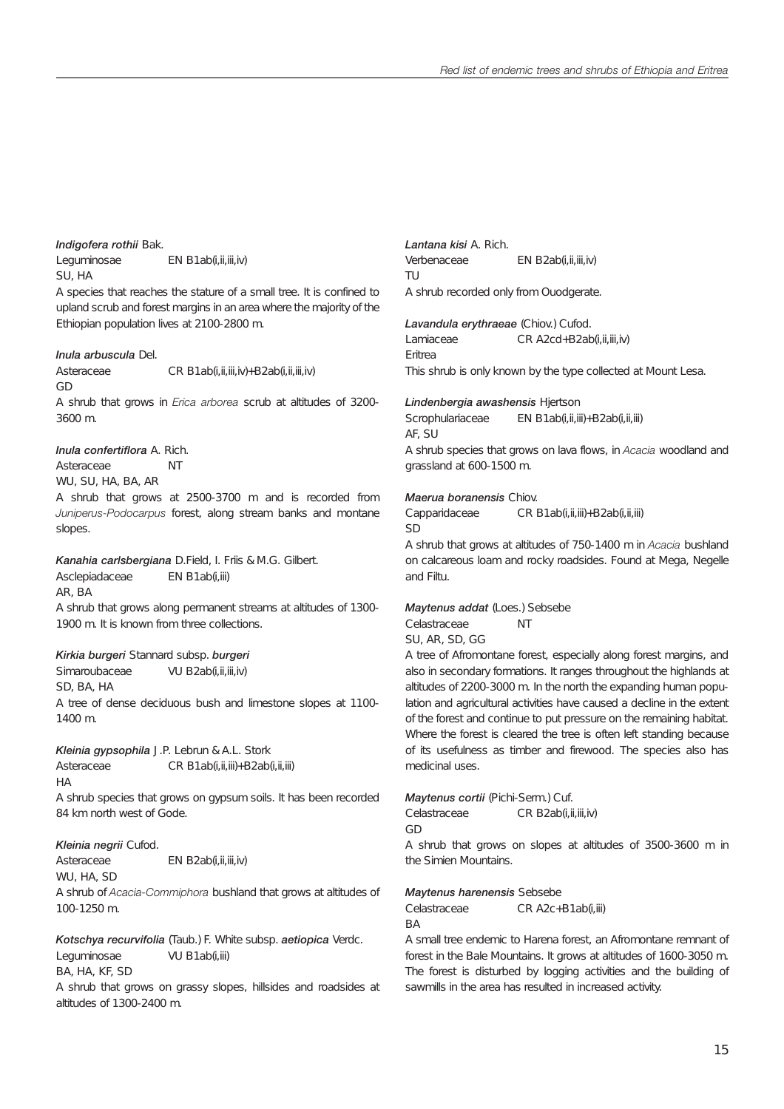#### *Indigofera rothii* Bak.

Leguminosae EN B1ab(i,ii,iii,iv) SU, HA

A species that reaches the stature of a small tree. It is confined to upland scrub and forest margins in an area where the majority of the Ethiopian population lives at 2100-2800 m.

#### *Inula arbuscula* Del.

Asteraceae CR B1ab(i,ii,iii,iv)+B2ab(i,ii,iii,iv) GD

A shrub that grows in *Erica arborea* scrub at altitudes of 3200- 3600 m.

#### *Inula confertiflora* A. Rich.

Asteraceae NT

WU, SU, HA, BA, AR

A shrub that grows at 2500-3700 m and is recorded from *Juniperus-Podocarpus* forest, along stream banks and montane slopes.

#### *Kanahia carlsbergiana* D.Field, I. Friis & M.G. Gilbert.

Asclepiadaceae EN B1ab(i,iii) AR, BA

A shrub that grows along permanent streams at altitudes of 1300- 1900 m. It is known from three collections.

#### *Kirkia burgeri* Stannard subsp. *burgeri*

Simaroubaceae VU B2ab(i, ii, iii, iv) SD, BA, HA A tree of dense deciduous bush and limestone slopes at 1100- 1400 m.

#### *Kleinia gypsophila* J.P. Lebrun & A.L. Stork

Asteraceae CR B1ab(i,ii,iii)+B2ab(i,ii,iii)  $HA$ 

A shrub species that grows on gypsum soils. It has been recorded 84 km north west of Gode.

#### *Kleinia negrii* Cufod.

Asteraceae EN B2ab(i, ii, iii, iv)

WU, HA, SD A shrub of *Acacia-Commiphora* bushland that grows at altitudes of 100-1250 m.

#### *Kotschya recurvifolia* (Taub.) F. White subsp. *aetiopica* Verdc.

Leguminosae VU B1ab(i,iii)

BA, HA, KF, SD A shrub that grows on grassy slopes, hillsides and roadsides at altitudes of 1300-2400 m.

#### *Lantana kisi* A. Rich.

Verbenaceae EN B2ab(i,ii,iii,iv) **TU** 

A shrub recorded only from Ouodgerate.

#### *Lavandula erythraeae* (Chiov.) Cufod.

Lamiaceae CR A2cd+B2ab(i,ii,iii,iv) Eritrea This shrub is only known by the type collected at Mount Lesa.

#### *Lindenbergia awashensis* Hjertson

Scrophulariaceae EN B1ab(i,ii,iii)+B2ab(i,ii,iii) AF, SU

A shrub species that grows on lava flows, in *Acacia* woodland and grassland at 600-1500 m.

#### *Maerua boranensis* Chiov.

Capparidaceae CR B1ab(i,ii,iii)+B2ab(i,ii,iii)  $SD$ 

A shrub that grows at altitudes of 750-1400 m in *Acacia* bushland on calcareous loam and rocky roadsides. Found at Mega, Negelle and Filtu.

#### *Maytenus addat* (Loes.) Sebsebe

Celastraceae NT SU, AR, SD, GG

A tree of Afromontane forest, especially along forest margins, and also in secondary formations. It ranges throughout the highlands at altitudes of 2200-3000 m. In the north the expanding human population and agricultural activities have caused a decline in the extent of the forest and continue to put pressure on the remaining habitat. Where the forest is cleared the tree is often left standing because of its usefulness as timber and firewood. The species also has medicinal uses.

#### *Maytenus cortii* (Pichi-Serm.) Cuf.

Celastraceae CR B2ab(i, ii, iii, iv) GD

A shrub that grows on slopes at altitudes of 3500-3600 m in the Simien Mountains.

#### *Maytenus harenensis* Sebsebe

Celastraceae CR A2c+B1ab(i,iii) BA

A small tree endemic to Harena forest, an Afromontane remnant of forest in the Bale Mountains. It grows at altitudes of 1600-3050 m. The forest is disturbed by logging activities and the building of sawmills in the area has resulted in increased activity.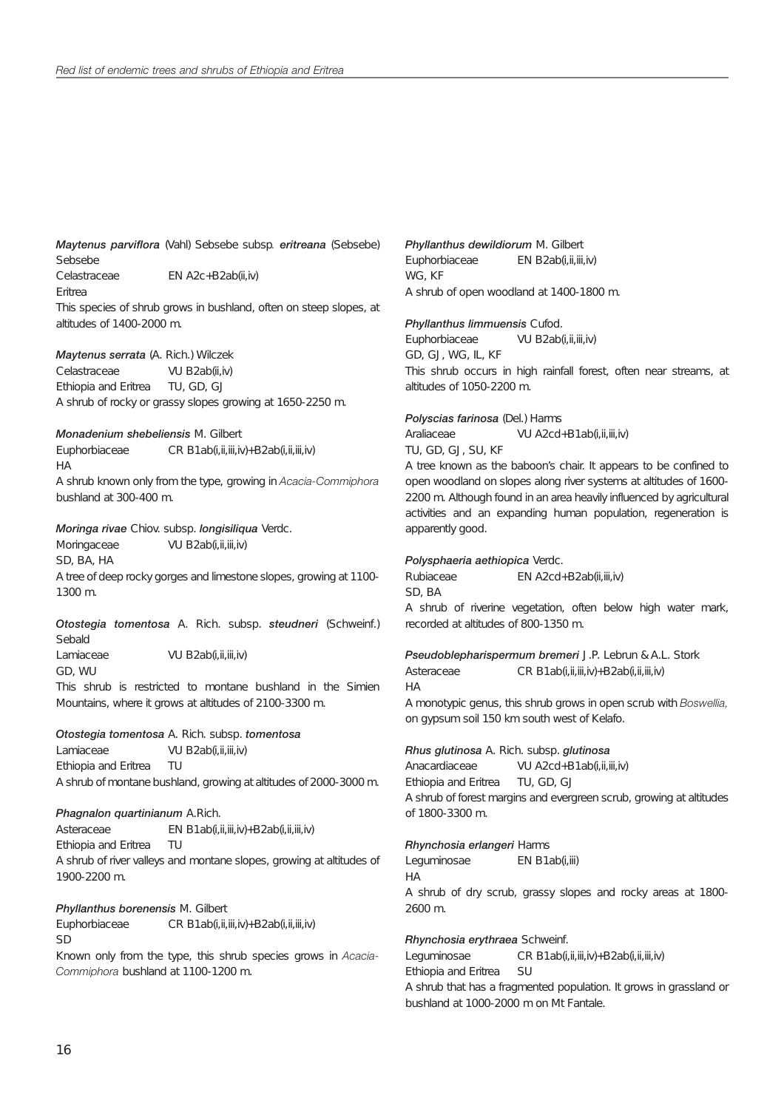*Maytenus parviflora* (Vahl) Sebsebe subsp*. eritreana* (Sebsebe) Sebsebe

Celastraceae EN A2c+B2ab(ii,iv) Eritrea

This species of shrub grows in bushland, often on steep slopes, at altitudes of 1400-2000 m.

*Maytenus serrata* (A. Rich.) Wilczek

Celastraceae VU B2ab(ii,iv) Ethiopia and Eritrea TU, GD, GJ A shrub of rocky or grassy slopes growing at 1650-2250 m.

### *Monadenium shebeliensis* M. Gilbert

Euphorbiaceae CR B1ab(i,ii,iii,iv)+B2ab(i,ii,iii,iv) HA A shrub known only from the type, growing in *Acacia-Commiphora* bushland at 300-400 m.

#### *Moringa rivae* Chiov. subsp. *longisiliqua* Verdc.

Moringaceae VU B2ab(i,ii,iii,iv) SD, BA, HA A tree of deep rocky gorges and limestone slopes, growing at 1100- 1300 m.

#### *Otostegia tomentosa* A. Rich. subsp. *steudneri* (Schweinf.) Sebald

Lamiaceae VU B2ab(i,ii,iii,iv) GD, WU

This shrub is restricted to montane bushland in the Simien Mountains, where it grows at altitudes of 2100-3300 m.

#### *Otostegia tomentosa* A. Rich. subsp. *tomentosa*

Lamiaceae VU B2ab(i,ii,iii,iv) Ethiopia and Eritrea TU A shrub of montane bushland, growing at altitudes of 2000-3000 m.

#### *Phagnalon quartinianum* A.Rich.

Asteraceae EN B1ab(i,ii,iii,iv)+B2ab(i,ii,iii,iv) Ethiopia and Eritrea TU A shrub of river valleys and montane slopes, growing at altitudes of 1900-2200 m.

#### *Phyllanthus borenensis* M. Gilbert

Euphorbiaceae CR B1ab(i, ii, iii, iv) + B2ab(i, ii, iii, iv) SD

Known only from the type, this shrub species grows in *Acacia-Commiphora* bushland at 1100-1200 m.

#### *Phyllanthus dewildiorum* M. Gilbert Euphorbiaceae EN B2ab(i,ii,iii,iv)

WG, KF A shrub of open woodland at 1400-1800 m.

#### *Phyllanthus limmuensis* Cufod.

Euphorbiaceae VU B2ab(i,ii,iii,iv) GD, GJ, WG, IL, KF This shrub occurs in high rainfall forest, often near streams, at altitudes of 1050-2200 m.

#### *Polyscias farinosa* (Del.) Harms

Araliaceae VU A2cd+B1ab(i,ii,iii,iv) TU, GD, GJ, SU, KF

A tree known as the baboon's chair. It appears to be confined to open woodland on slopes along river systems at altitudes of 1600- 2200 m. Although found in an area heavily influenced by agricultural activities and an expanding human population, regeneration is apparently good.

#### *Polysphaeria aethiopica* Verdc.

Rubiaceae EN A2cd+B2ab(ii,iii,iv) SD, BA

A shrub of riverine vegetation, often below high water mark, recorded at altitudes of 800-1350 m.

#### *Pseudoblepharispermum bremeri* J.P. Lebrun & A.L. Stork

Asteraceae CR B1ab(i,ii,iii,iv)+B2ab(i,ii,iii,iv) HA

A monotypic genus, this shrub grows in open scrub with *Boswellia,* on gypsum soil 150 km south west of Kelafo.

#### *Rhus glutinosa* A. Rich. subsp. *glutinosa*

Anacardiaceae VU A2cd+B1ab(i, ii, iii, iv) Ethiopia and Eritrea TU, GD, GJ A shrub of forest margins and evergreen scrub, growing at altitudes of 1800-3300 m.

#### *Rhynchosia erlangeri* Harms

Leguminosae EN B1ab(i,iii) HA A shrub of dry scrub, grassy slopes and rocky areas at 1800- 2600 m.

#### *Rhynchosia erythraea* Schweinf.

Leguminosae CR B1ab(i,ii,iii,iv)+B2ab(i,ii,iii,iv) Ethiopia and Eritrea SU A shrub that has a fragmented population. It grows in grassland or bushland at 1000-2000 m on Mt Fantale.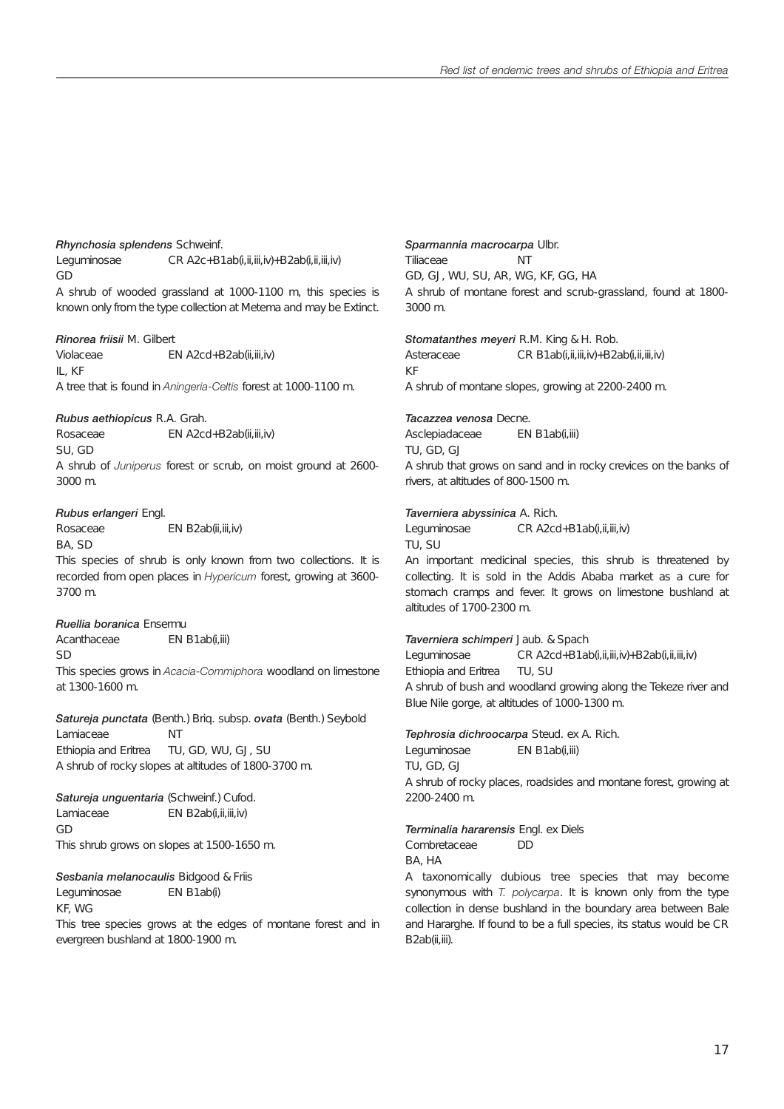#### *Rhynchosia splendens* Schweinf.

Leguminosae CR A2c+B1ab(i,ii,iii,iv)+B2ab(i,ii,iii,iv) GD

A shrub of wooded grassland at 1000-1100 m, this species is known only from the type collection at Metema and may be Extinct.

#### *Rinorea friisii* M. Gilbert

Violaceae EN A2cd+B2ab(ii, iii, iv) IL, KF A tree that is found in *Aningeria-Celtis* forest at 1000-1100 m.

#### *Rubus aethiopicus* R.A. Grah.

Rosaceae EN A2cd+B2ab(ii, iii, iv) SU, GD A shrub of *Juniperus* forest or scrub, on moist ground at 2600- 3000 m.

#### *Rubus erlangeri* Engl.

Rosaceae EN B2ab(ii, iii, iv) BA, SD

This species of shrub is only known from two collections. It is recorded from open places in *Hypericum* forest, growing at 3600- 3700 m.

#### *Ruellia boranica* Ensermu

Acanthaceae EN B1ab(i,iii) SD This species grows in *Acacia-Commiphora* woodland on limestone at 1300-1600 m.

*Satureja punctata* (Benth.) Briq. subsp. *ovata* (Benth.) Seybold Lamiaceae NT Ethiopia and Eritrea TU, GD, WU, GJ, SU A shrub of rocky slopes at altitudes of 1800-3700 m.

#### *Satureja unguentaria* (Schweinf.) Cufod.

Lamiaceae EN B2ab(i, ii, iii, iv)

GD

This shrub grows on slopes at 1500-1650 m.

#### *Sesbania melanocaulis* Bidgood & Friis

Leguminosae EN B1ab(i) KF, WG

This tree species grows at the edges of montane forest and in evergreen bushland at 1800-1900 m.

#### *Sparmannia macrocarpa* Ulbr.

Tiliaceae NT GD, GJ, WU, SU, AR, WG, KF, GG, HA A shrub of montane forest and scrub-grassland, found at 1800- 3000 m.

#### *Stomatanthes meyeri* R.M. King & H. Rob.

Asteraceae CR B1ab(i,ii,iii,iv)+B2ab(i,ii,iii,iv) KF A shrub of montane slopes, growing at 2200-2400 m.

#### *Tacazzea venosa* Decne.

Asclepiadaceae EN B1ab(i,iii) TU, GD, GJ A shrub that grows on sand and in rocky crevices on the banks of rivers, at altitudes of 800-1500 m.

#### *Taverniera abyssinica* A. Rich.

Leguminosae CR A2cd+B1ab(i,ii,iii,iv) TU, SU

An important medicinal species, this shrub is threatened by collecting. It is sold in the Addis Ababa market as a cure for stomach cramps and fever. It grows on limestone bushland at altitudes of 1700-2300 m.

#### *Taverniera schimperi* Jaub. & Spach

Leguminosae CR A2cd+B1ab(i,ii,iii,iv)+B2ab(i,ii,iii,iv) Ethiopia and Eritrea TU, SU A shrub of bush and woodland growing along the Tekeze river and Blue Nile gorge, at altitudes of 1000-1300 m.

#### *Tephrosia dichroocarpa* Steud. ex A. Rich.

Leguminosae EN B1ab(i,iii) TU, GD, GJ A shrub of rocky places, roadsides and montane forest, growing at 2200-2400 m.

#### *Terminalia hararensis* Engl. ex Diels

Combretaceae DD BA, HA

A taxonomically dubious tree species that may become synonymous with *T. polycarpa*. It is known only from the type collection in dense bushland in the boundary area between Bale and Hararghe. If found to be a full species, its status would be CR B2ab(ii,iii).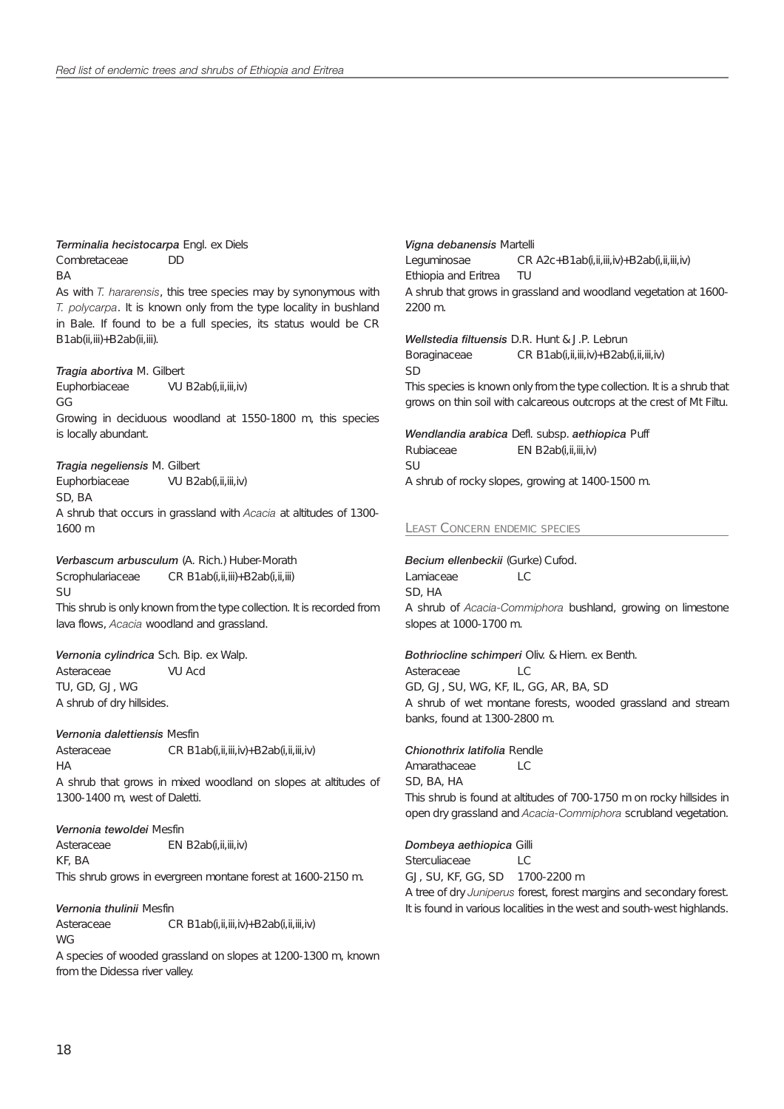#### *Terminalia hecistocarpa* Engl. ex Diels Combretaceae DD

 $BA$ 

As with *T. hararensis*, this tree species may by synonymous with *T. polycarpa*. It is known only from the type locality in bushland in Bale. If found to be a full species, its status would be CR B1ab(ii,iii)+B2ab(ii,iii).

#### *Tragia abortiva* M. Gilbert

Euphorbiaceae VU B2ab(i,ii,iii,iv) GG Growing in deciduous woodland at 1550-1800 m, this species is locally abundant.

#### *Tragia negeliensis* M. Gilbert

Euphorbiaceae VU B2ab(i,ii,iii,iv) SD, BA A shrub that occurs in grassland with *Acacia* at altitudes of 1300- 1600 m

#### *Verbascum arbusculum* (A. Rich.) Huber-Morath

Scrophulariaceae CR B1ab(i,ii,iii)+B2ab(i,ii,iii) SU

This shrub is only known from the type collection. It is recorded from lava flows, *Acacia* woodland and grassland.

#### *Vernonia cylindrica* Sch. Bip. ex Walp.

Asteraceae VU Acd TU, GD, GJ, WG A shrub of dry hillsides.

#### *Vernonia dalettiensis* Mesfin

Asteraceae CR B1ab(i, ii, iii, iv) + B2ab(i, ii, iii, iv) HA A shrub that grows in mixed woodland on slopes at altitudes of 1300-1400 m, west of Daletti.

#### *Vernonia tewoldei* Mesfin

Asteraceae EN B2ab(i, ii, iii, iv) KF, BA This shrub grows in evergreen montane forest at 1600-2150 m.

#### *Vernonia thulinii* Mesfin

Asteraceae CR B1ab(i, ii, iii, iv) + B2ab(i, ii, iii, iv) WG

A species of wooded grassland on slopes at 1200-1300 m, known from the Didessa river valley.

#### *Vigna debanensis* Martelli

Leguminosae CR A2c+B1ab(i,ii,iii,iv)+B2ab(i,ii,iii,iv) Ethiopia and Eritrea TU A shrub that grows in grassland and woodland vegetation at 1600- 2200 m.

*Wellstedia filtuensis* D.R. Hunt & J.P. Lebrun Boraginaceae CR B1ab(i,ii,iii,iv)+B2ab(i,ii,iii,iv) SD This species is known only from the type collection. It is a shrub that grows on thin soil with calcareous outcrops at the crest of Mt Filtu.

### *Wendlandia arabica* Defl. subsp. *aethiopica* Puff

Rubiaceae EN B2ab(i,ii,iii,iv) SU A shrub of rocky slopes, growing at 1400-1500 m.

#### LEAST CONCERN ENDEMIC SPECIES

#### *Becium ellenbeckii* (Gurke) Cufod.

Lamiaceae LC SD, HA A shrub of *Acacia-Commiphora* bushland, growing on limestone slopes at 1000-1700 m.

#### *Bothriocline schimperi* Oliv. & Hiern. ex Benth.

Asteraceae LC GD, GJ, SU, WG, KF, IL, GG, AR, BA, SD A shrub of wet montane forests, wooded grassland and stream banks, found at 1300-2800 m.

#### *Chionothrix latifolia* Rendle

Amarathaceae LC SD, BA, HA This shrub is found at altitudes of 700-1750 m on rocky hillsides in open dry grassland and *Acacia-Commiphora* scrubland vegetation.

#### *Dombeya aethiopica* Gilli

Sterculiaceae LC GJ, SU, KF, GG, SD 1700-2200 m A tree of dry *Juniperus* forest, forest margins and secondary forest. It is found in various localities in the west and south-west highlands.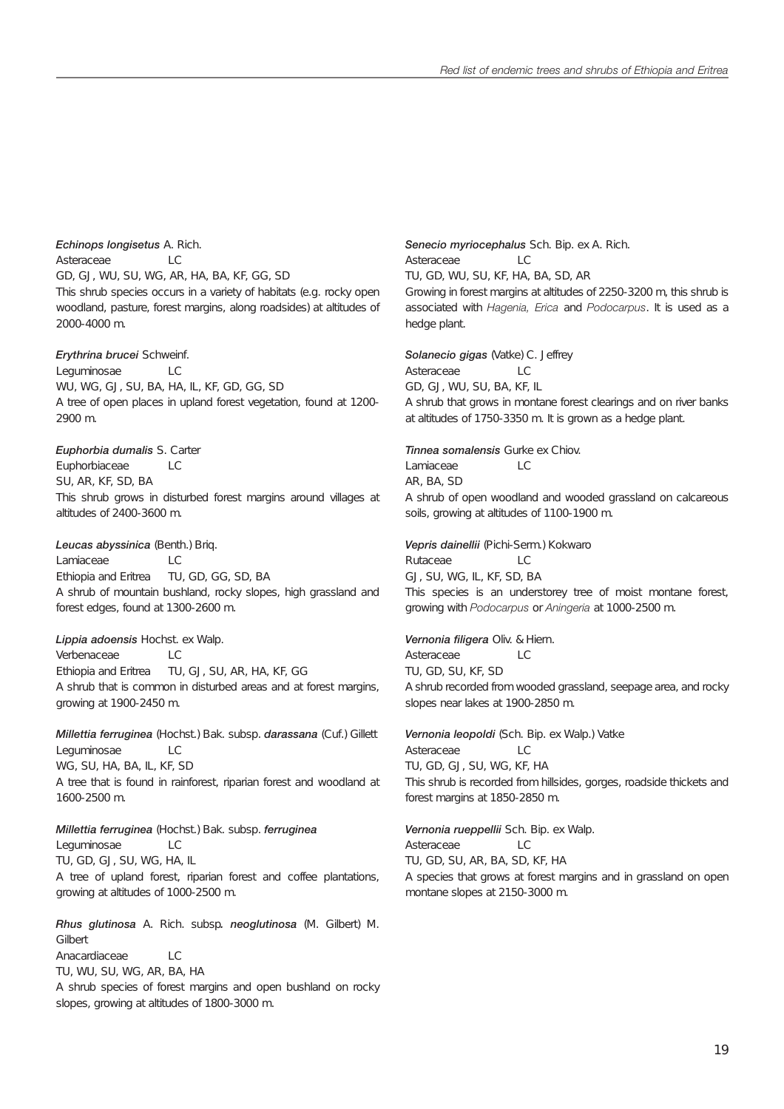*Echinops longisetus* A. Rich. Asteraceae LC GD, GJ, WU, SU, WG, AR, HA, BA, KF, GG, SD This shrub species occurs in a variety of habitats (e.g. rocky open woodland, pasture, forest margins, along roadsides) at altitudes of 2000-4000 m.

#### *Erythrina brucei* Schweinf.

Leguminosae LC WU, WG, GJ, SU, BA, HA, IL, KF, GD, GG, SD A tree of open places in upland forest vegetation, found at 1200- 2900 m.

#### *Euphorbia dumalis* S. Carter

Euphorbiaceae LC SU, AR, KF, SD, BA This shrub grows in disturbed forest margins around villages at altitudes of 2400-3600 m.

#### *Leucas abyssinica* (Benth.) Briq.

Lamiaceae LC Ethiopia and Eritrea TU, GD, GG, SD, BA A shrub of mountain bushland, rocky slopes, high grassland and forest edges, found at 1300-2600 m.

#### *Lippia adoensis* Hochst. ex Walp.

Verbenaceae LC Ethiopia and Eritrea TU, GJ, SU, AR, HA, KF, GG A shrub that is common in disturbed areas and at forest margins, growing at 1900-2450 m.

*Millettia ferruginea* (Hochst.) Bak. subsp. *darassana* (Cuf.) Gillett Leguminosae LC WG, SU, HA, BA, IL, KF, SD A tree that is found in rainforest, riparian forest and woodland at 1600-2500 m.

#### *Millettia ferruginea* (Hochst.) Bak. subsp. *ferruginea*

Leguminosae LC TU, GD, GJ, SU, WG, HA, IL A tree of upland forest, riparian forest and coffee plantations, growing at altitudes of 1000-2500 m.

*Rhus glutinosa* A. Rich. subsp*. neoglutinosa* (M. Gilbert) M. Gilbert

Anacardiaceae LC TU, WU, SU, WG, AR, BA, HA A shrub species of forest margins and open bushland on rocky slopes, growing at altitudes of 1800-3000 m.

*Senecio myriocephalus* Sch. Bip. ex A. Rich. Asteraceae LC TU, GD, WU, SU, KF, HA, BA, SD, AR Growing in forest margins at altitudes of 2250-3200 m, this shrub is associated with *Hagenia, Erica* and *Podocarpus*. It is used as a hedge plant.

*Solanecio gigas* (Vatke) C. Jeffrey Asteraceae LC GD, GJ, WU, SU, BA, KF, IL A shrub that grows in montane forest clearings and on river banks at altitudes of 1750-3350 m. It is grown as a hedge plant.

#### *Tinnea somalensis* Gurke ex Chiov.

Lamiaceae LC AR, BA, SD A shrub of open woodland and wooded grassland on calcareous soils, growing at altitudes of 1100-1900 m.

#### *Vepris dainellii* (Pichi-Serm.) Kokwaro

Rutaceae LC GJ, SU, WG, IL, KF, SD, BA This species is an understorey tree of moist montane forest, growing with *Podocarpus* or *Aningeria* at 1000-2500 m.

#### *Vernonia filigera* Oliv. & Hiern.

Asteraceae LC TU, GD, SU, KF, SD A shrub recorded from wooded grassland, seepage area, and rocky slopes near lakes at 1900-2850 m.

*Vernonia leopoldi* (Sch. Bip. ex Walp.) Vatke Asteraceae LC TU, GD, GJ, SU, WG, KF, HA This shrub is recorded from hillsides, gorges, roadside thickets and forest margins at 1850-2850 m.

*Vernonia rueppellii* Sch. Bip. ex Walp. Asteraceae LC TU, GD, SU, AR, BA, SD, KF, HA A species that grows at forest margins and in grassland on open montane slopes at 2150-3000 m.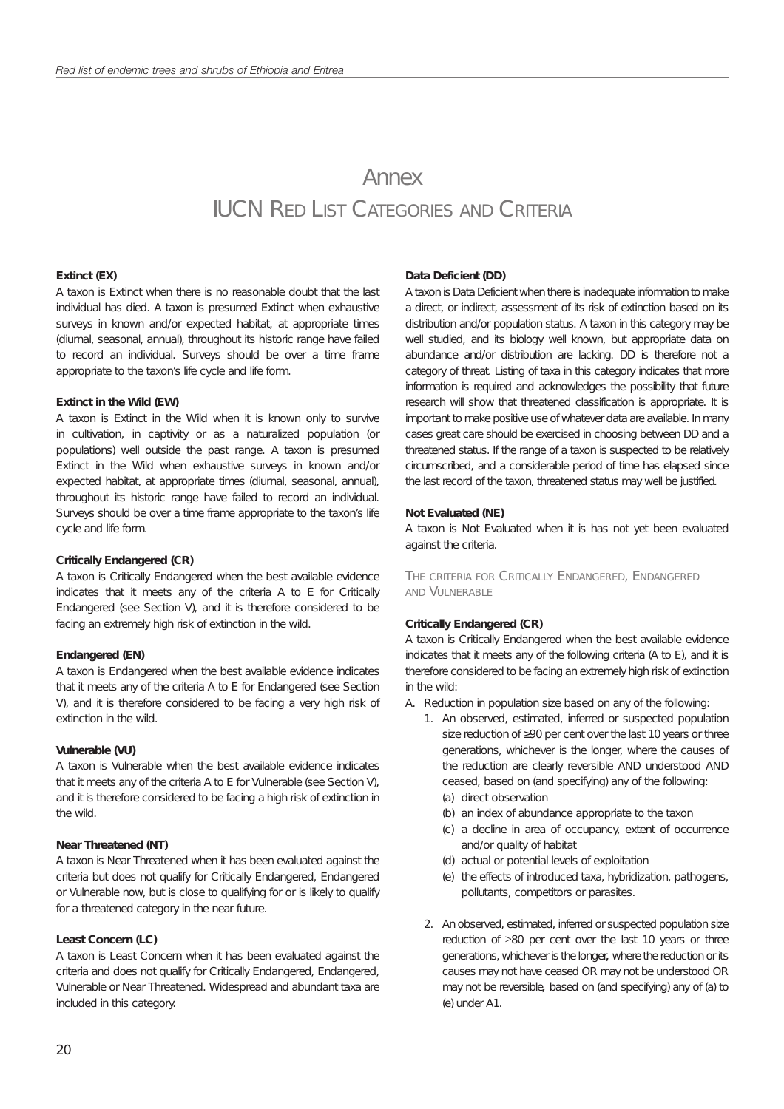### Annex IUCN RED LIST CATEGORIES AND CRITERIA

#### **Extinct (EX)**

A taxon is Extinct when there is no reasonable doubt that the last individual has died. A taxon is presumed Extinct when exhaustive surveys in known and/or expected habitat, at appropriate times (diurnal, seasonal, annual), throughout its historic range have failed to record an individual. Surveys should be over a time frame appropriate to the taxon's life cycle and life form.

#### **Extinct in the Wild (EW)**

A taxon is Extinct in the Wild when it is known only to survive in cultivation, in captivity or as a naturalized population (or populations) well outside the past range. A taxon is presumed Extinct in the Wild when exhaustive surveys in known and/or expected habitat, at appropriate times (diurnal, seasonal, annual), throughout its historic range have failed to record an individual. Surveys should be over a time frame appropriate to the taxon's life cycle and life form.

#### **Critically Endangered (CR)**

A taxon is Critically Endangered when the best available evidence indicates that it meets any of the criteria A to E for Critically Endangered (see Section V), and it is therefore considered to be facing an extremely high risk of extinction in the wild.

#### **Endangered (EN)**

A taxon is Endangered when the best available evidence indicates that it meets any of the criteria A to E for Endangered (see Section V), and it is therefore considered to be facing a very high risk of extinction in the wild.

#### **Vulnerable (VU)**

A taxon is Vulnerable when the best available evidence indicates that it meets any of the criteria A to E for Vulnerable (see Section V), and it is therefore considered to be facing a high risk of extinction in the wild.

#### **Near Threatened (NT)**

A taxon is Near Threatened when it has been evaluated against the criteria but does not qualify for Critically Endangered, Endangered or Vulnerable now, but is close to qualifying for or is likely to qualify for a threatened category in the near future.

#### **Least Concern (LC)**

A taxon is Least Concern when it has been evaluated against the criteria and does not qualify for Critically Endangered, Endangered, Vulnerable or Near Threatened. Widespread and abundant taxa are included in this category.

#### **Data Deficient (DD)**

A taxon is Data Deficient when there is inadequate information to make a direct, or indirect, assessment of its risk of extinction based on its distribution and/or population status. A taxon in this category may be well studied, and its biology well known, but appropriate data on abundance and/or distribution are lacking. DD is therefore not a category of threat. Listing of taxa in this category indicates that more information is required and acknowledges the possibility that future research will show that threatened classification is appropriate. It is important to make positive use of whatever data are available. In many cases great care should be exercised in choosing between DD and a threatened status. If the range of a taxon is suspected to be relatively circumscribed, and a considerable period of time has elapsed since the last record of the taxon, threatened status may well be justified*.*

#### **Not Evaluated (NE)**

A taxon is Not Evaluated when it is has not yet been evaluated against the criteria.

THE CRITERIA FOR CRITICALLY ENDANGERED, ENDANGERED AND VULNERABLE

#### **Critically Endangered (CR)**

A taxon is Critically Endangered when the best available evidence indicates that it meets any of the following criteria (A to E), and it is therefore considered to be facing an extremely high risk of extinction in the wild:

- A. Reduction in population size based on any of the following:
	- 1. An observed, estimated, inferred or suspected population size reduction of 90 per cent over the last 10 years or three generations, whichever is the longer, where the causes of the reduction are clearly reversible AND understood AND ceased, based on (and specifying) any of the following:
		- (a) direct observation
		- (b) an index of abundance appropriate to the taxon
		- (c) a decline in area of occupancy, extent of occurrence and/or quality of habitat
		- (d) actual or potential levels of exploitation
		- (e) the effects of introduced taxa, hybridization, pathogens, pollutants, competitors or parasites.
	- 2. An observed, estimated, inferred or suspected population size reduction of *≥*80 per cent over the last 10 years or three generations, whichever is the longer*,* where the reduction or its causes may not have ceased OR may not be understood OR may not be reversible*,* based on (and specifying) any of (a) to (e) under A1.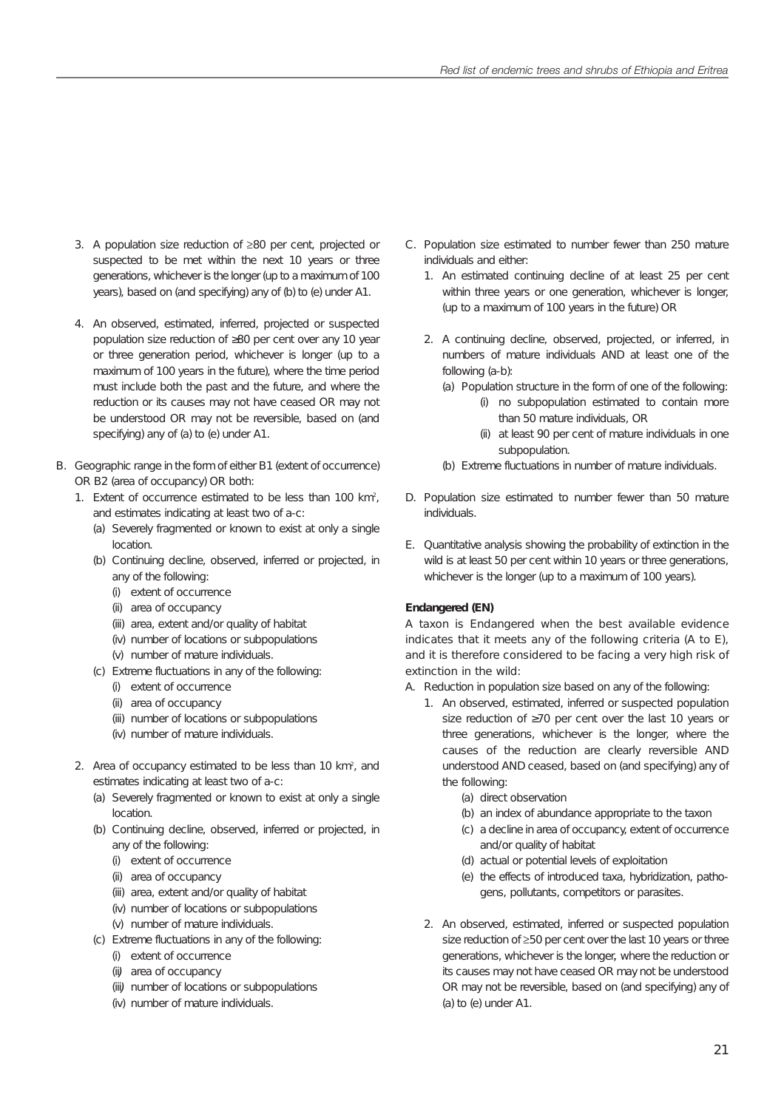- 3. A population size reduction of *≥*80 per cent, projected or suspected to be met within the next 10 years or three generations, whichever is the longer (up to a maximum of 100 years), based on (and specifying) any of (b) to (e) under A1.
- 4. An observed, estimated, inferred, projected or suspected population size reduction of 80 per cent over any 10 year or three generation period, whichever is longer (up to a maximum of 100 years in the future), where the time period must include both the past and the future, and where the reduction or its causes may not have ceased OR may not be understood OR may not be reversible, based on (and specifying) any of (a) to (e) under A1.
- B. Geographic range in the form of either B1 (extent of occurrence) OR B2 (area of occupancy) OR both:
	- 1. Extent of occurrence estimated to be less than  $100 \; \text{km}^2$ , and estimates indicating at least two of a-c:
		- (a) Severely fragmented or known to exist at only a single location.
		- (b) Continuing decline, observed, inferred or projected, in any of the following:
			- (i) extent of occurrence
			- (ii) area of occupancy
			- (iii) area, extent and/or quality of habitat
			- (iv) number of locations or subpopulations
			- (v) number of mature individuals.
		- (c) Extreme fluctuations in any of the following:
			- (i) extent of occurrence
			- (ii) area of occupancy
			- (iii) number of locations or subpopulations
			- (iv) number of mature individuals.
	- 2. Area of occupancy estimated to be less than 10 km<sup>2</sup>, and estimates indicating at least two of a-c:
		- (a) Severely fragmented or known to exist at only a single location.
		- (b) Continuing decline, observed, inferred or projected, in any of the following:
			- (i) extent of occurrence
			- (ii) area of occupancy
			- (iii) area, extent and/or quality of habitat
			- (iv) number of locations or subpopulations
			- (v) number of mature individuals.
		- (c) Extreme fluctuations in any of the following:
			- (i) extent of occurrence
			- (ii*)* area of occupancy
			- (iii*)* number of locations or subpopulations
			- (iv) number of mature individuals.
- C. Population size estimated to number fewer than 250 mature individuals and either:
	- 1. An estimated continuing decline of at least 25 per cent within three years or one generation, whichever is longer, (up to a maximum of 100 years in the future) OR
	- 2. A continuing decline, observed, projected, or inferred, in numbers of mature individuals AND at least one of the following (a-b):
		- (a) Population structure in the form of one of the following:
			- (i) no subpopulation estimated to contain more than 50 mature individuals, OR
			- (ii) at least 90 per cent of mature individuals in one subpopulation.
		- (b) Extreme fluctuations in number of mature individuals.
- D. Population size estimated to number fewer than 50 mature individuals.
- E. Quantitative analysis showing the probability of extinction in the wild is at least 50 per cent within 10 years or three generations, whichever is the longer (up to a maximum of 100 years).

#### **Endangered (EN)**

A taxon is Endangered when the best available evidence indicates that it meets any of the following criteria (A to E), and it is therefore considered to be facing a very high risk of extinction in the wild:

- A. Reduction in population size based on any of the following:
	- 1. An observed, estimated, inferred or suspected population size reduction of 70 per cent over the last 10 years or three generations, whichever is the longer, where the causes of the reduction are clearly reversible AND understood AND ceased, based on (and specifying) any of the following:
		- (a) direct observation
		- (b) an index of abundance appropriate to the taxon
		- (c) a decline in area of occupancy, extent of occurrence and/or quality of habitat
		- (d) actual or potential levels of exploitation
		- (e) the effects of introduced taxa, hybridization, pathogens, pollutants, competitors or parasites.
	- 2. An observed, estimated, inferred or suspected population size reduction of *≥*50 per cent over the last 10 years or three generations, whichever is the longer*,* where the reduction or its causes may not have ceased OR may not be understood OR may not be reversible, based on (and specifying) any of (a) to (e) under A1.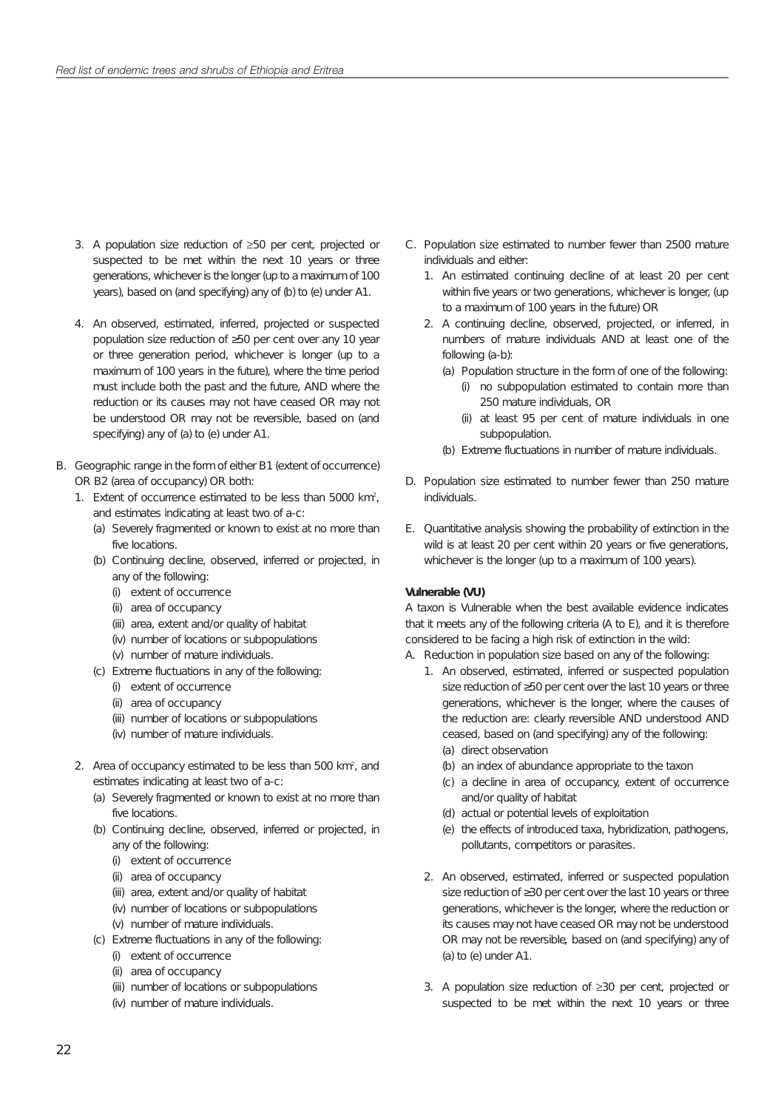- 3. A population size reduction of *≥*50 per cent, projected or suspected to be met within the next 10 years or three generations, whichever is the longer (up to a maximum of 100 years), based on (and specifying) any of (b) to (e) under A1.
- 4. An observed, estimated, inferred, projected or suspected population size reduction of 50 per cent over any 10 year or three generation period, whichever is longer (up to a maximum of 100 years in the future), where the time period must include both the past and the future, AND where the reduction or its causes may not have ceased OR may not be understood OR may not be reversible, based on (and specifying) any of (a) to (e) under A1.
- B. Geographic range in the form of either B1 (extent of occurrence) OR B2 (area of occupancy) OR both:
	- 1. Extent of occurrence estimated to be less than  $5000 \; \text{km}^2$ , and estimates indicating at least two of a-c:
		- (a) Severely fragmented or known to exist at no more than five locations.
		- (b) Continuing decline, observed, inferred or projected, in any of the following:
			- (i) extent of occurrence
			- (ii) area of occupancy
			- (iii) area, extent and/or quality of habitat
			- (iv) number of locations or subpopulations
			- (v) number of mature individuals.
		- (c) Extreme fluctuations in any of the following:
			- (i) extent of occurrence
			- (ii) area of occupancy
			- (iii) number of locations or subpopulations
			- (iv) number of mature individuals.
	- 2. Area of occupancy estimated to be less than 500 km<sup>2</sup>, and estimates indicating at least two of a-c:
		- (a) Severely fragmented or known to exist at no more than five locations.
		- (b) Continuing decline, observed, inferred or projected, in any of the following:
			- (i) extent of occurrence
			- (ii) area of occupancy
			- (iii) area, extent and/or quality of habitat
			- (iv) number of locations or subpopulations
			- (v) number of mature individuals.
		- (c) Extreme fluctuations in any of the following:
			- (i) extent of occurrence
			- (ii) area of occupancy
			- (iii) number of locations or subpopulations
			- (iv) number of mature individuals.
- C. Population size estimated to number fewer than 2500 mature individuals and either:
	- 1. An estimated continuing decline of at least 20 per cent within five years or two generations, whichever is longer, (up to a maximum of 100 years in the future) OR
	- 2. A continuing decline, observed, projected, or inferred, in numbers of mature individuals AND at least one of the following (a-b):
		- (a) Population structure in the form of one of the following: (i) no subpopulation estimated to contain more than
			- 250 mature individuals, OR
			- (ii) at least 95 per cent of mature individuals in one subpopulation.
		- (b) Extreme fluctuations in number of mature individuals.
- D. Population size estimated to number fewer than 250 mature individuals.
- E. Quantitative analysis showing the probability of extinction in the wild is at least 20 per cent within 20 years or five generations, whichever is the longer (up to a maximum of 100 years).

#### **Vulnerable (VU)**

A taxon is Vulnerable when the best available evidence indicates that it meets any of the following criteria (A to E), and it is therefore considered to be facing a high risk of extinction in the wild:

- A. Reduction in population size based on any of the following:
	- 1. An observed, estimated, inferred or suspected population size reduction of 50 per cent over the last 10 years or three generations, whichever is the longer, where the causes of the reduction are: clearly reversible AND understood AND ceased, based on (and specifying) any of the following:
		- (a) direct observation
		- (b) an index of abundance appropriate to the taxon
		- (c) a decline in area of occupancy, extent of occurrence and/or quality of habitat
		- (d) actual or potential levels of exploitation
		- (e) the effects of introduced taxa, hybridization, pathogens, pollutants, competitors or parasites.
	- 2. An observed, estimated, inferred or suspected population size reduction of 30 per cent over the last 10 years or three generations, whichever is the longer*,* where the reduction or its causes may not have ceased OR may not be understood OR may not be reversible*,* based on (and specifying) any of (a) to (e) under A1.
	- 3. A population size reduction of *≥*30 per cent, projected or suspected to be met within the next 10 years or three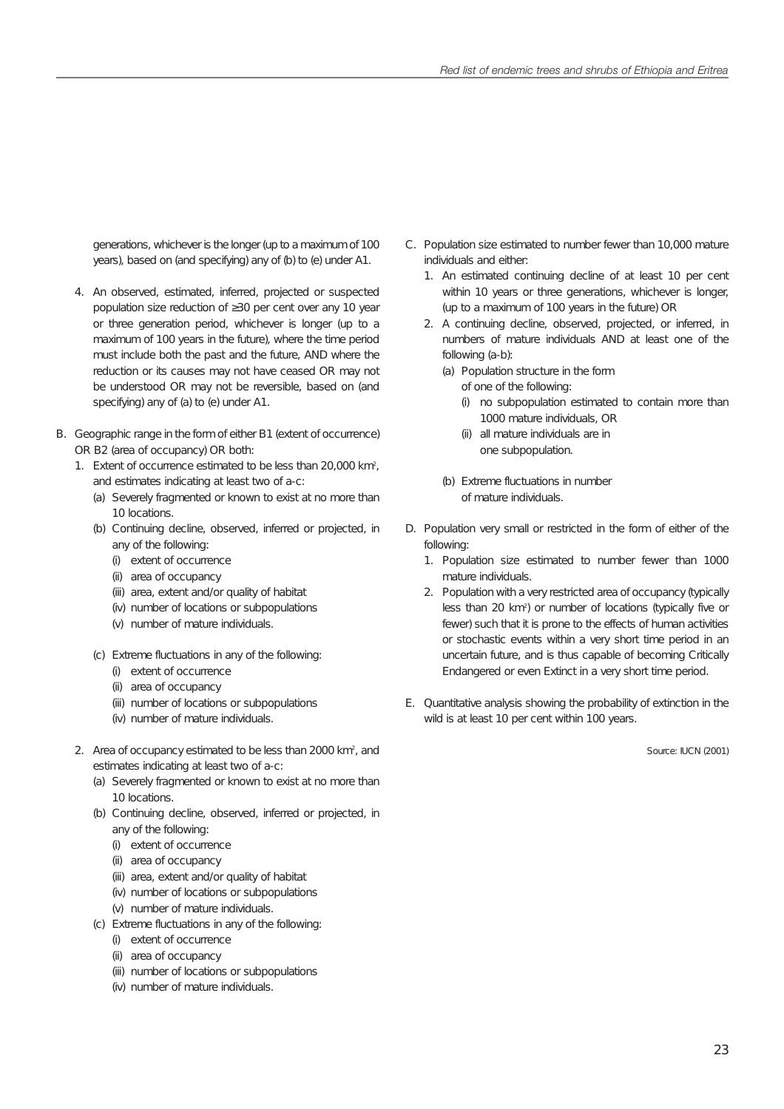generations, whichever is the longer (up to a maximum of 100 years), based on (and specifying) any of (b) to (e) under A1.

- 4. An observed, estimated, inferred, projected or suspected population size reduction of 30 per cent over any 10 year or three generation period, whichever is longer (up to a maximum of 100 years in the future), where the time period must include both the past and the future, AND where the reduction or its causes may not have ceased OR may not be understood OR may not be reversible, based on (and specifying) any of (a) to (e) under A1.
- B. Geographic range in the form of either B1 (extent of occurrence) OR B2 (area of occupancy) OR both:
	- 1. Extent of occurrence estimated to be less than 20,000 km<sup>2</sup>, and estimates indicating at least two of a-c:
		- (a) Severely fragmented or known to exist at no more than 10 locations.
		- (b) Continuing decline, observed, inferred or projected, in any of the following:
			- (i) extent of occurrence
			- (ii) area of occupancy
			- (iii) area, extent and/or quality of habitat
			- (iv) number of locations or subpopulations
			- (v) number of mature individuals.
		- (c) Extreme fluctuations in any of the following:
			- (i) extent of occurrence
			- (ii) area of occupancy
			- (iii) number of locations or subpopulations
			- (iv) number of mature individuals.
	- 2. Area of occupancy estimated to be less than 2000 km<sup>2</sup>, and estimates indicating at least two of a-c:
		- (a) Severely fragmented or known to exist at no more than 10 locations.
		- (b) Continuing decline, observed, inferred or projected, in any of the following:
			- (i) extent of occurrence
			- (ii) area of occupancy
			- (iii) area, extent and/or quality of habitat
			- (iv) number of locations or subpopulations
			- (v) number of mature individuals.
		- (c) Extreme fluctuations in any of the following:
			- (i) extent of occurrence
			- (ii) area of occupancy
			- (iii) number of locations or subpopulations
			- (iv) number of mature individuals.
- C. Population size estimated to number fewer than 10,000 mature individuals and either:
	- 1. An estimated continuing decline of at least 10 per cent within 10 years or three generations, whichever is longer, (up to a maximum of 100 years in the future) OR
	- 2. A continuing decline, observed, projected, or inferred, in numbers of mature individuals AND at least one of the following (a-b):
		- (a) Population structure in the form
			- of one of the following:
			- (i) no subpopulation estimated to contain more than 1000 mature individuals, OR
			- (ii) all mature individuals are in one subpopulation.
		- (b) Extreme fluctuations in number of mature individuals.
- D. Population very small or restricted in the form of either of the following:
	- 1. Population size estimated to number fewer than 1000 mature individuals.
	- 2. Population with a very restricted area of occupancy (typically less than 20 km<sup>2</sup>) or number of locations (typically five or fewer) such that it is prone to the effects of human activities or stochastic events within a very short time period in an uncertain future, and is thus capable of becoming Critically Endangered or even Extinct in a very short time period.
- E. Quantitative analysis showing the probability of extinction in the wild is at least 10 per cent within 100 years.

Source: IUCN (2001)